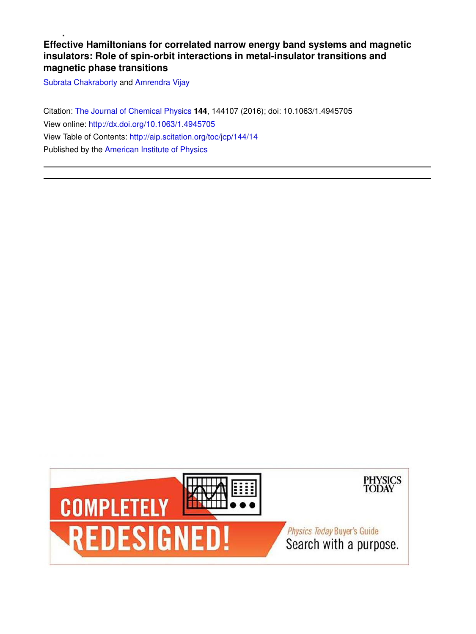**Effective Hamiltonians for correlated narrow energy band systems and magnetic insulators: Role of spin-orbit interactions in metal-insulator transitions and magnetic phase transitions**

Subrata Chakraborty and Amrendra Vijay

Citation: The Journal of Chemical Physics **144**, 144107 (2016); doi: 10.1063/1.4945705 View online: http://dx.doi.org/10.1063/1.4945705 View Table of Contents: http://aip.scitation.org/toc/jcp/144/14 Published by the American Institute of Physics

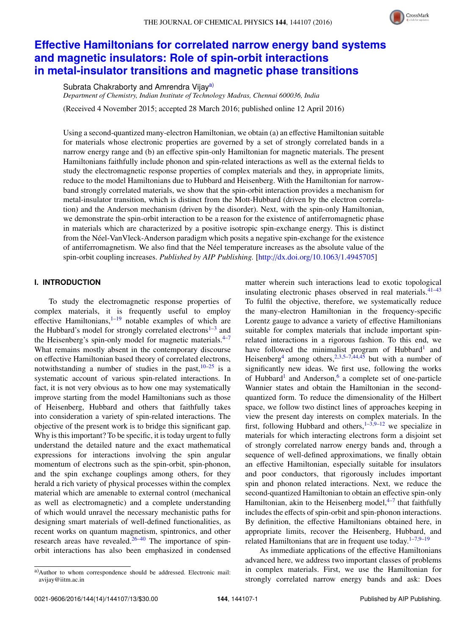

# **Effective Hamiltonians for correlated narrow energy band systems and magnetic insulators: Role of spin-orbit interactions in metal-insulator transitions and magnetic phase transitions**

Subrata Chakraborty and Amrendra Vijay<sup>a)</sup>

*Department of Chemistry, Indian Institute of Technology Madras, Chennai 600036, India*

(Received 4 November 2015; accepted 28 March 2016; published online 12 April 2016)

Using a second-quantized many-electron Hamiltonian, we obtain (a) an effective Hamiltonian suitable for materials whose electronic properties are governed by a set of strongly correlated bands in a narrow energy range and (b) an effective spin-only Hamiltonian for magnetic materials. The present Hamiltonians faithfully include phonon and spin-related interactions as well as the external fields to study the electromagnetic response properties of complex materials and they, in appropriate limits, reduce to the model Hamiltonians due to Hubbard and Heisenberg. With the Hamiltonian for narrowband strongly correlated materials, we show that the spin-orbit interaction provides a mechanism for metal-insulator transition, which is distinct from the Mott-Hubbard (driven by the electron correlation) and the Anderson mechanism (driven by the disorder). Next, with the spin-only Hamiltonian, we demonstrate the spin-orbit interaction to be a reason for the existence of antiferromagnetic phase in materials which are characterized by a positive isotropic spin-exchange energy. This is distinct from the Néel-VanVleck-Anderson paradigm which posits a negative spin-exchange for the existence of antiferromagnetism. We also find that the Néel temperature increases as the absolute value of the spin-orbit coupling increases. *Published by AIP Publishing.* [http://dx.doi.org/10.1063/1.4945705]

# **I. INTRODUCTION**

To study the electromagnetic response properties of complex materials, it is frequently useful to employ effective Hamiltonians, $1-19$  notable examples of which are the Hubbard's model for strongly correlated electrons<sup>1-3</sup> and the Heisenberg's spin-only model for magnetic materials. $4-7$ What remains mostly absent in the contemporary discourse on effective Hamiltonian based theory of correlated electrons, notwithstanding a number of studies in the past,  $10-25$  is a systematic account of various spin-related interactions. In fact, it is not very obvious as to how one may systematically improve starting from the model Hamiltonians such as those of Heisenberg, Hubbard and others that faithfully takes into consideration a variety of spin-related interactions. The objective of the present work is to bridge this significant gap. Why is this important? To be specific, it is today urgent to fully understand the detailed nature and the exact mathematical expressions for interactions involving the spin angular momentum of electrons such as the spin-orbit, spin-phonon, and the spin exchange couplings among others, for they herald a rich variety of physical processes within the complex material which are amenable to external control (mechanical as well as electromagnetic) and a complete understanding of which would unravel the necessary mechanistic paths for designing smart materials of well-defined functionalities, as recent works on quantum magnetism, spintronics, and other research areas have revealed.26–40 The importance of spinorbit interactions has also been emphasized in condensed matter wherein such interactions lead to exotic topological insulating electronic phases observed in real materials. $41-43$ To fulfil the objective, therefore, we systematically reduce the many-electron Hamiltonian in the frequency-specific Lorentz gauge to advance a variety of effective Hamiltonians suitable for complex materials that include important spinrelated interactions in a rigorous fashion. To this end, we have followed the minimalist program of Hubbard<sup>1</sup> and Heisenberg<sup>4</sup> among others,  $2,3,5-7,44,45$  but with a number of significantly new ideas. We first use, following the works of Hubbard<sup>1</sup> and Anderson,<sup>6</sup> a complete set of one-particle Wannier states and obtain the Hamiltonian in the secondquantized form. To reduce the dimensionality of the Hilbert space, we follow two distinct lines of approaches keeping in view the present day interests on complex materials. In the first, following Hubbard and others,  $1-3.9-12$  we specialize in materials for which interacting electrons form a disjoint set of strongly correlated narrow energy bands and, through a sequence of well-defined approximations, we finally obtain an effective Hamiltonian, especially suitable for insulators and poor conductors, that rigorously includes important spin and phonon related interactions. Next, we reduce the second-quantized Hamiltonian to obtain an effective spin-only Hamiltonian, akin to the Heisenberg model, <sup>4–7</sup> that faithfully includes the effects of spin-orbit and spin-phonon interactions. By definition, the effective Hamiltonians obtained here, in appropriate limits, recover the Heisenberg, Hubbard, and related Hamiltonians that are in frequent use today. $1-7.9-19$ 

As immediate applications of the effective Hamiltonians advanced here, we address two important classes of problems in complex materials. First, we use the Hamiltonian for strongly correlated narrow energy bands and ask: Does

a)Author to whom correspondence should be addressed. Electronic mail: avijay@iitm.ac.in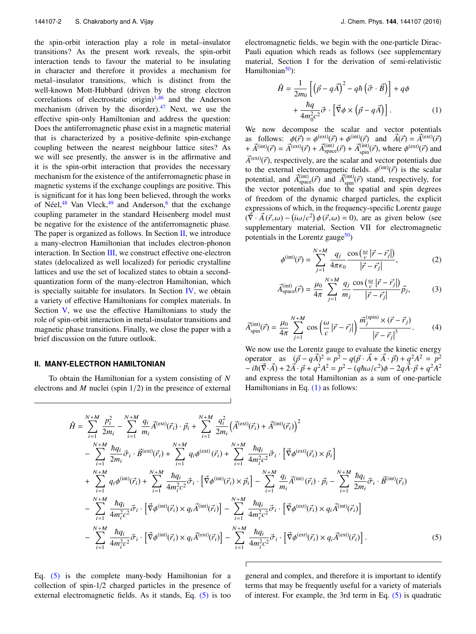the spin-orbit interaction play a role in metal–insulator transitions? As the present work reveals, the spin-orbit interaction tends to favour the material to be insulating in character and therefore it provides a mechanism for metal–insulator transitions, which is distinct from the well-known Mott-Hubbard (driven by the strong electron correlations of electrostatic origin) $1,46$  and the Anderson mechanism (driven by the disorder). $47$  Next, we use the effective spin-only Hamiltonian and address the question: Does the antiferromagnetic phase exist in a magnetic material that is characterized by a positive-definite spin-exchange coupling between the nearest neighbour lattice sites? As we will see presently, the answer is in the affirmative and it is the spin-orbit interaction that provides the necessary mechanism for the existence of the antiferromagnetic phase in magnetic systems if the exchange couplings are positive. This is significant for it has long been believed, through the works of Néel,<sup>48</sup> Van Vleck,<sup>49</sup> and Anderson,<sup>6</sup> that the exchange coupling parameter in the standard Heisenberg model must be negative for the existence of the antiferromagnetic phase. The paper is organized as follows. In Section  $II$ , we introduce a many-electron Hamiltonian that includes electron-phonon interaction. In Section III, we construct effective one-electron states (delocalized as well localized) for periodic crystalline lattices and use the set of localized states to obtain a secondquantization form of the many-electron Hamiltonian, which is specially suitable for insulators. In Section IV, we obtain a variety of effective Hamiltonians for complex materials. In Section V, we use the effective Hamiltonians to study the role of spin-orbit interaction in metal-insulator transitions and magnetic phase transitions. Finally, we close the paper with a brief discussion on the future outlook.

## **II. MANY-ELECTRON HAMILTONIAN**

To obtain the Hamiltonian for a system consisting of *N* electrons and *M* nuclei (spin 1/2) in the presence of external electromagnetic fields, we begin with the one-particle Dirac-Pauli equation which reads as follows (see supplementary material, Section I for the derivation of semi-relativistic Hamiltonian $50$ :

$$
\hat{H} = \frac{1}{2m_0} \left[ \left( \vec{p} - q\vec{A} \right)^2 - q\hbar \left( \vec{\sigma} \cdot \vec{B} \right) \right] + q\phi
$$

$$
+ \frac{\hbar q}{4m_0^2 c^2} \vec{\sigma} \cdot \left[ \vec{\nabla} \phi \times \left( \vec{p} - q\vec{A} \right) \right]. \tag{1}
$$

We now decompose the scalar and vector potentials as follows:  $\phi(\vec{r}) = \phi^{(\text{ext})}(\vec{r}) + \phi^{(\text{int})}(\vec{r})$  and  $\vec{A}(\vec{r}) = \vec{A}^{(\text{ext})}(\vec{r})$ +  $\vec{A}^{(\text{int})}(\vec{r}) = \vec{A}^{(\text{ext})}(\vec{r}) + \vec{A}^{(\text{int})}_{\text{space}}(\vec{r}) + \vec{A}^{(\text{int})}_{\text{spin}}(\vec{r})$ , where  $\phi^{(\text{ext})}(\vec{r})$  and  $\vec{A}^{\text{(ext)}}(\vec{r})$ , respectively, are the scalar and vector potentials due to the external electromagnetic fields.  $\phi^{(\text{int})}(\vec{r})$  is the scalar potential, and  $\vec{A}^{(\text{int})}_{\text{space}}(\vec{r})$  and  $\vec{A}^{(\text{int})}_{\text{spin}}(\vec{r})$  stand, respectively, for the vector potentials due to the spatial and spin degrees of freedom of the dynamic charged particles, the explicit expressions of which, in the frequency-specific Lorentz gauge  $(\vec{\nabla} \cdot \vec{A}(\vec{r}, \omega) - (i\omega/c^2) \phi(\vec{r}, \omega) = 0)$ , are as given below (see supplementary material, Section VII for electromagnetic potentials in the Lorentz gauge $50$ )

$$
\phi^{(\text{int})}(\vec{r}) = \sum_{j=1}^{N+M} \frac{q_j}{4\pi\epsilon_0} \frac{\cos\left(\frac{\omega}{c}|\vec{r} - \vec{r}_j|\right)}{|\vec{r} - \vec{r}_j|},\tag{2}
$$

$$
\vec{A}_{\text{space}}^{(\text{int})}(\vec{r}) = \frac{\mu_0}{4\pi} \sum_{j=1}^{N+M} \frac{q_j}{m_j} \frac{\cos\left(\frac{\omega}{c}|\vec{r} - \vec{r_j}|\right)}{|\vec{r} - \vec{r_j}|} \vec{p_j},\tag{3}
$$

$$
\vec{A}_{spin}^{(int)}(\vec{r}) = \frac{\mu_0}{4\pi} \sum_{j=1}^{N+M} \cos\left(\frac{\omega}{c} \left|\vec{r} - \vec{r}_j\right|\right) \frac{\vec{m}_j^{(spin)} \times (\vec{r} - \vec{r}_j)}{\left|\vec{r} - \vec{r}_j\right|^3}.
$$
 (4)

We now use the Lorentz gauge to evaluate the kinetic energy operator as  $(\vec{p} - q\vec{A})^2 = p^2 - q(\vec{p} \cdot \vec{A} + \vec{A} \cdot \vec{p}) + q^2 A^2 = p^2$  $-i\hbar(\vec{V}\cdot\vec{A}) + 2\vec{A}\cdot\vec{p} + q^2A^2 = p^2 - (q\hbar\omega/c^2)\phi - 2q\vec{A}\cdot\vec{p} + q^2A^2$ and express the total Hamiltonian as a sum of one-particle Hamiltonians in Eq. (1) as follows:

$$
\hat{H} = \sum_{i=1}^{N+M} \frac{p_i^2}{2m_i} - \sum_{i=1}^{N+M} \frac{q_i}{m_i} \vec{A}^{(\text{ext})}(\vec{r}_i) \cdot \vec{p}_i + \sum_{i=1}^{N+M} \frac{q_i^2}{2m_i} \left( \vec{A}^{(\text{ext})}(\vec{r}_i) + \vec{A}^{(\text{int})}(\vec{r}_i) \right)^2 \n- \sum_{i=1}^{N+M} \frac{\hbar q_i}{2m_i} \vec{\sigma}_i \cdot \vec{B}^{(\text{ext})}(\vec{r}_i) + \sum_{i=1}^{N+M} q_i \phi^{(\text{ext})}(\vec{r}_i) + \sum_{i=1}^{N+M} \frac{\hbar q_i}{4m_i^2 c^2} \vec{\sigma}_i \cdot \left[ \vec{\nabla} \phi^{(\text{ext})}(\vec{r}_i) \times \vec{p}_i \right] \n+ \sum_{i=1}^{N+M} q_i \phi^{(\text{int})}(\vec{r}_i) + \sum_{i=1}^{N+M} \frac{\hbar q_i}{4m_i^2 c^2} \vec{\sigma}_i \cdot \left[ \vec{\nabla} \phi^{(\text{int})}(\vec{r}_i) \times \vec{p}_i \right] - \sum_{i=1}^{N+M} \frac{q_i}{m_i} \vec{A}^{(\text{int})}(\vec{r}_i) \cdot \vec{p}_i - \sum_{i=1}^{N+M} \frac{\hbar q_i}{2m_i} \vec{\sigma}_i \cdot \vec{B}^{(\text{int})}(\vec{r}_i) \n- \sum_{i=1}^{N+M} \frac{\hbar q_i}{4m_i^2 c^2} \vec{\sigma}_i \cdot \left[ \vec{\nabla} \phi^{(\text{int})}(\vec{r}_i) \times q_i \vec{A}^{(\text{int})}(\vec{r}_i) \right] - \sum_{i=1}^{N+M} \frac{\hbar q_i}{4m_i^2 c^2} \vec{\sigma}_i \cdot \left[ \vec{\nabla} \phi^{(\text{ext})}(\vec{r}_i) \times q_i \vec{A}^{(\text{int})}(\vec{r}_i) \right].
$$
\n(5)

Eq. (5) is the complete many-body Hamiltonian for a collection of spin-1/2 charged particles in the presence of external electromagnetic fields. As it stands, Eq. (5) is too general and complex, and therefore it is important to identify terms that may be frequently useful for a variety of materials of interest. For example, the 3rd term in Eq. (5) is quadratic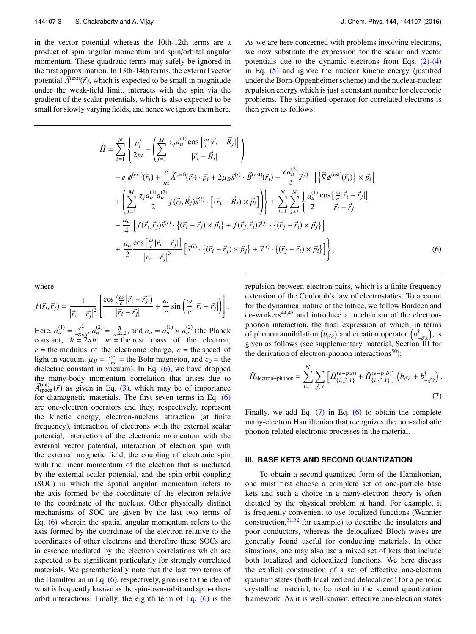in the vector potential whereas the 10th-12th terms are a product of spin angular momentum and spin/orbital angular momentum. These quadratic terms may safely be ignored in the first approximation. In 13th-14th terms, the external vector potential  $\vec{A}^{\text{(ext)}}(\vec{r})$ , which is expected to be small in magnitude under the weak-field limit, interacts with the spin via the gradient of the scalar potentials, which is also expected to be small for slowly varying fields, and hence we ignore them here. As we are here concerned with problems involving electrons, we now substitute the expression for the scalar and vector potentials due to the dynamic electrons from Eqs.  $(2)-(4)$ in Eq. (5) and ignore the nuclear kinetic energy (justified under the Born-Oppenheimer scheme) and the nuclear-nuclear repulsion energy which is just a constant number for electronic problems. The simplified operator for correlated electrons is then given as follows:

$$
\hat{H} = \sum_{i=1}^{N} \left\{ \frac{p_i^2}{2m} - \left( \sum_{j=1}^{M} \frac{z_j a_u^{(1)} \cos\left[\frac{\omega}{c} |\vec{r}_i - \vec{R}_j| \right]}{|\vec{r}_i - \vec{R}_j|} \right) \right\} \n- e \phi^{(\text{ext})}(\vec{r}_i) + \frac{e}{m} \vec{A}^{(\text{ext})}(\vec{r}_i) \cdot \vec{p}_i + 2 \mu_B \vec{S}^{(i)} \cdot \vec{B}^{(\text{ext})}(\vec{r}_i) - \frac{e a_u^{(2)}}{2} \vec{S}^{(i)} \cdot \left[ \left\{ \vec{\nabla} \phi^{(\text{ext})}(\vec{r}_i) \right\} \times \vec{p}_i \right] \right. \n+ \left( \sum_{j=1}^{M} \frac{z_j a_u^{(1)} a_u^{(2)}}{2} f(\vec{r}_i, \vec{R}_j) \vec{S}^{(i)} \cdot \left[ (\vec{r}_i - \vec{R}_j) \times \vec{p}_i \right] \right) \right\} + \sum_{i=1}^{N} \sum_{j \neq i}^{N} \left\{ \frac{a_u^{(1)} \cos\left[\frac{\omega}{c} |\vec{r}_i - \vec{r}_j| \right]}{|\vec{r}_i - \vec{r}_j|} - \frac{a_u}{4} \left[ f(\vec{r}_i, \vec{r}_j) \vec{S}^{(i)} \cdot \left\{ (\vec{r}_i - \vec{r}_j) \times \vec{p}_i \right\} + f(\vec{r}_j, \vec{r}_i) \vec{S}^{(j)} \cdot \left\{ (\vec{r}_j - \vec{r}_i) \times \vec{p}_j \right\} \right] \right. \n+ \frac{a_u}{2} \frac{\cos\left[\frac{\omega}{c} |\vec{r}_i - \vec{r}_j| \right]}{|\vec{r}_i - \vec{r}_j|^3} \left[ \vec{S}^{(i)} \cdot \left\{ (\vec{r}_i - \vec{r}_j) \times \vec{p}_j \right\} + \vec{S}^{(j)} \cdot \left\{ (\vec{r}_j - \vec{r}_i) \times \vec{p}_i \right\} \right],
$$
\n(6)

where

$$
f(\vec{r}_i, \vec{r}_j) = \frac{1}{|\vec{r}_i - \vec{r}_j|^2} \left[ \frac{\cos\left(\frac{\omega}{c} |\vec{r}_i - \vec{r}_j| \right)}{|\vec{r}_i - \vec{r}_j|} + \frac{\omega}{c} \sin\left(\frac{\omega}{c} |\vec{r}_i - \vec{r}_j| \right) \right].
$$

Here,  $a_u^{(1)} = \frac{e^2}{4\pi\epsilon}$  $\frac{e^2}{4\pi\epsilon_0}, a_u^{(2)} = \frac{\hbar}{m^2}$  $\frac{\hbar}{m^2c^2}$ , and  $a_u = a_u^{(1)} \times a_u^{(2)}$  (the Planck constant,  $h = 2\pi\hbar$ ;  $m =$  the rest mass of the electron,  $e =$  the modulus of the electronic charge,  $c =$  the speed of light in vacuum,  $\mu_B = \frac{e\hbar}{2m}$  = the Bohr magneton, and  $\epsilon_0$  = the dielectric constant in vacuum). In Eq. (6), we have dropped the many-body momentum correlation that arises due to  $\vec{A}^{\text{(int)}}_{\text{space}}(\vec{r})$  as given in Eq. (3), which may be of importance for diamagnetic materials. The first seven terms in Eq. (6) are one-electron operators and they, respectively, represent the kinetic energy, electron-nucleus attraction (at finite frequency), interaction of electrons with the external scalar potential, interaction of the electronic momentum with the external vector potential, interaction of electron spin with the external magnetic field, the coupling of electronic spin with the linear momentum of the electron that is mediated by the external scalar potential, and the spin-orbit coupling (SOC) in which the spatial angular momentum refers to the axis formed by the coordinate of the electron relative to the coordinate of the nucleus. Other physically distinct mechanisms of SOC are given by the last two terms of Eq. (6) wherein the spatial angular momentum refers to the axis formed by the coordinate of the electron relative to the coordinates of other electrons and therefore these SOCs are in essence mediated by the electron correlations which are expected to be significant particularly for strongly correlated materials. We parenthetically note that the last two terms of the Hamiltonian in Eq.  $(6)$ , respectively, give rise to the idea of what is frequently known as the spin-own-orbit and spin-otherorbit interactions. Finally, the eighth term of Eq. (6) is the repulsion between electron-pairs, which is a finite frequency extension of the Coulomb's law of electrostatics. To account for the dynamical nature of the lattice, we follow Bardeen and co-workers44,45 and introduce a mechanism of the electronphonon interaction, the final expression of which, in terms of phonon annihilation  $(b_{g\lambda})$  and creation operator  $(b_{-g\lambda}^{\dagger})$ , is given as follows (see supplementary material, Section III for the derivation of electron-phonon interactions $50$ :

$$
\hat{H}_{\text{electron-phonon}} = \sum_{i=1}^{N} \sum_{\vec{g}, \lambda} \left[ \hat{H}_{\{i, \vec{g}, \lambda\}}^{(e-p;a)} + \hat{H}_{\{i, \vec{g}, \lambda\}}^{(e-p;b)} \right] \left( b_{\vec{g}\lambda} + b_{-\vec{g}\lambda}^{\dagger} \right). \tag{7}
$$

Finally, we add Eq.  $(7)$  in Eq.  $(6)$  to obtain the complete many-electron Hamiltonian that recognizes the non-adiabatic phonon-related electronic processes in the material.

# **III. BASE KETS AND SECOND QUANTIZATION**

To obtain a second-quantized form of the Hamiltonian, one must first choose a complete set of one-particle base kets and such a choice in a many-electron theory is often dictated by the physical problem at hand. For example, it is frequently convenient to use localized functions (Wannier construction,  $51,52$  for example) to describe the insulators and poor conductors, whereas the delocalized Bloch waves are generally found useful for conducting materials. In other situations, one may also use a mixed set of kets that include both localized and delocalized functions. We here discuss the explicit construction of a set of effective one-electron quantum states (both localized and delocalized) for a periodic crystalline material, to be used in the second quantization framework. As it is well-known, effective one-electron states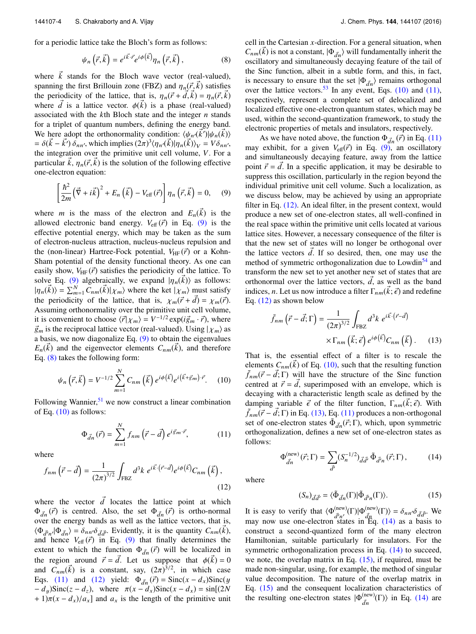for a periodic lattice take the Bloch's form as follows:

$$
\psi_n\left(\vec{r},\vec{k}\right) = e^{i\vec{k}\cdot\vec{r}}e^{i\phi\left(\vec{k}\right)}\eta_n\left(\vec{r},\vec{k}\right),\tag{8}
$$

where  $\vec{k}$  stands for the Bloch wave vector (real-valued), spanning the first Brillouin zone (FBZ) and  $\eta_n(\vec{r}, \vec{k})$  satisfies the periodicity of the lattice, that is,  $\eta_n(\vec{r} + d, \vec{k}) = \eta_n(\vec{r}, \vec{k})$ where  $\vec{d}$  is a lattice vector.  $\phi(\vec{k})$  is a phase (real-valued) associated with the *k*th Bloch state and the integer *n* stands for a triplet of quantum numbers, defining the energy band. We here adopt the orthonormality condition:  $\langle \psi_{n'}(\vec{k'})|\psi_{n}(\vec{k'})\rangle$ =  $\delta(\vec{k} - \vec{k}') \delta_{nn'}$ , which implies  $(2\pi)^3 \langle \eta_n(\vec{k}) | \eta_n(\vec{k'}) \rangle_V = V \delta_{nn'}$ , the integration over the primitive unit cell volume, *V*. For a particular  $\vec{k}$ ,  $\eta_n(\vec{r}, \vec{k})$  is the solution of the following effective one-electron equation:

$$
\left[\frac{\hbar^2}{2m}\left(\vec{\nabla} + i\vec{k}\right)^2 + E_n\left(\vec{k}\right) - V_{\text{eff}}\left(\vec{r}\right)\right]\eta_n\left(\vec{r},\vec{k}\right) = 0, \quad (9)
$$

where *m* is the mass of the electron and  $E_n(\vec{k})$  is the allowed electronic band energy.  $V_{\text{eff}}(\vec{r})$  in Eq. (9) is the effective potential energy, which may be taken as the sum of electron-nucleus attraction, nucleus-nucleus repulsion and the (non-linear) Hartree-Fock potential,  $V_{HF}(\vec{r})$  or a Kohn-Sham potential of the density functional theory. As one can easily show,  $V_{\text{HF}}(\vec{r})$  satisfies the periodicity of the lattice. To solve Eq. (9) algebraically, we expand  $|\eta_n(k)\rangle$  as follows:  $|\eta_n(\vec{k})\rangle = \sum_{m=1}^{N} C_{nm}(\vec{k}) | \chi_m \rangle$  where the ket  $| \chi_m \rangle$  must satisfy the periodicity of the lattice, that is,  $\chi_m(\vec{r} + \vec{d}) = \chi_m(\vec{r})$ . Assuming orthonormality over the primitive unit cell volume, it is convenient to choose  $\langle \vec{r} | \chi_m \rangle = V^{-1/2} \exp(i \vec{g}_m \cdot \vec{r})$ , where  $\vec{g}_m$  is the reciprocal lattice vector (real-valued). Using  $| \chi_m \rangle$  as a basis, we now diagonalize Eq.  $(9)$  to obtain the eigenvalues  $E_n(\vec{k})$  and the eigenvector elements  $C_{nm}(\vec{k})$ , and therefore Eq. (8) takes the following form:

$$
\psi_n(\vec{r}, \vec{k}) = V^{-1/2} \sum_{m=1}^N C_{nm}(\vec{k}) e^{i\phi(\vec{k})} e^{i(\vec{k} + \vec{g}_m) \cdot \vec{r}}.
$$
 (10)

Following Wannier,  $51$  we now construct a linear combination of Eq.  $(10)$  as follows:

$$
\Phi_{\vec{d}n}(\vec{r}) = \sum_{m=1}^{N} f_{nm}(\vec{r} - \vec{d}) e^{i\vec{g}_m \cdot \vec{r}}, \qquad (11)
$$

where

$$
f_{nm}(\vec{r} - \vec{d}) = \frac{1}{(2\pi)^{3/2}} \int_{\text{FBZ}} d^3k \ e^{i\vec{k} \cdot (\vec{r} - \vec{d})} e^{i\phi(\vec{k})} C_{nm}(\vec{k}), \tag{12}
$$

where the vector  $\vec{d}$  locates the lattice point at which  $\Phi_{d\vec{n}}(\vec{r})$  is centred. Also, the set  $\Phi_{d\vec{n}}(\vec{r})$  is ortho-normal over the energy bands as well as the lattice vectors, that is,  $\langle \Phi_{\vec{d}'n'} | \Phi_{\vec{d}n} \rangle = \delta_{nn'} \delta_{\vec{d}\vec{d}'}$ . Evidently, it is the quantity  $C_{nm}(\vec{k})$ , and hence  $V_{\text{eff}}(\vec{r})$  in Eq. (9) that finally determines the extent to which the function  $\Phi_{d\hat{n}}(\vec{r})$  will be localized in the region around  $\vec{r} = \vec{d}$ . Let us suppose that  $\phi(\vec{k}) = 0$ and  $C_{nm}(\vec{k})$  is a constant, say,  $(2\pi)^{3/2}$ , in which case Eqs. (11) and (12) yield:  $\Phi_{d\hat{n}}(\vec{r}) = \text{Sinc}(x - d_x)\text{Sinc}(y)$  $-d_y$ Sinc( $z - d_z$ ), where  $\pi(x - d_x)$ Sinc( $x - d_x$ ) = sin[(2*N*)  $+ 1\pi(x - d_x)/a_x$ ] and  $a_x$  is the length of the primitive unit cell in the Cartesian *x*-direction. For a general situation, when  $C_{nm}(k)$  is not a constant,  $|\Phi_{\vec{d}n}\rangle$  will fundamentally inherit the oscillatory and simultaneously decaying feature of the tail of the Sinc function, albeit in a subtle form, and this, in fact, is necessary to ensure that the set  $|\Phi_{\vec{d}n}\rangle$  remains orthogonal over the lattice vectors.<sup>53</sup> In any event, Eqs.  $(10)$  and  $(11)$ , respectively, represent a complete set of delocalized and localized effective one-electron quantum states, which may be used, within the second-quantization framework, to study the electronic properties of metals and insulators, respectively.

As we have noted above, the function  $\Phi_{d*n*}(\vec{r})$  in Eq. (11) may exhibit, for a given  $V_{\text{eff}}(\vec{r})$  in Eq. (9), an oscillatory and simultaneously decaying feature, away from the lattice point  $\vec{r} = d$ . In a specific application, it may be desirable to suppress this oscillation, particularly in the region beyond the individual primitive unit cell volume. Such a localization, as we discuss below, may be achieved by using an appropriate filter in Eq. (12). An ideal filter, in the present context, would produce a new set of one-electron states, all well-confined in the real space within the primitive unit cells located at various lattice sites. However, a necessary consequence of the filter is that the new set of states will no longer be orthogonal over the lattice vectors  $\vec{d}$ . If so desired, then, one may use the method of symmetric orthogonalization due to Lowdin<sup>54</sup> and transform the new set to yet another new set of states that are orthonormal over the lattice vectors,  $\vec{d}$ , as well as the band indices, *n*. Let us now introduce a filter  $\Gamma_{nm}(\vec{k};\vec{\epsilon})$  and redefine Eq. (12) as shown below

$$
\tilde{f}_{nm}(\vec{r} - \vec{d}; \Gamma) = \frac{1}{(2\pi)^{3/2}} \int_{\text{FBZ}} d^3k \ e^{i\vec{k} \cdot (\vec{r} - \vec{d})} \times \Gamma_{nm}(\vec{k}; \vec{\epsilon}) \ e^{i\phi(\vec{k})} C_{nm}(\vec{k}). \tag{13}
$$

That is, the essential effect of a filter is to rescale the elements  $C_{nm}(\vec{k})$  of Eq. (10), such that the resulting function  $\tilde{f}_{nm}(\vec{r} - \vec{d}; \Gamma)$  will have the structure of the Sinc function centred at  $\vec{r} = d$ , superimposed with an envelope, which is decaying with a characteristic length scale as defined by the damping variable  $\vec{\epsilon}$  of the filter function,  $\Gamma_{nm}(\vec{k};\vec{\epsilon})$ . With  $\tilde{f}_{nm}(\vec{r} - \vec{d}; \Gamma)$  in Eq. (13), Eq. (11) produces a non-orthogonal set of one-electron states  $\tilde{\Phi}_{d\vec{n}}(\vec{r}; \Gamma)$ , which, upon symmetric orthogonalization, defines a new set of one-electron states as follows:

$$
\Phi_{\vec{d}n}^{(\text{new})}(\vec{r};\Gamma) = \sum_{\vec{d}'} (S_n^{-1/2})_{\vec{d}\vec{d}'} \, \tilde{\Phi}_{\vec{d}'n}(\vec{r};\Gamma), \tag{14}
$$

where

$$
(S_n)_{\vec{d}\vec{d}'} = \langle \tilde{\Phi}_{\vec{d}n}(\Gamma) | \tilde{\Phi}_{\vec{d}'n}(\Gamma) \rangle.
$$
 (15)

It is easy to verify that  $\langle \Phi_{\tau}^{(\text{new})} \rangle$  $\frac{d^{(new)}}{d^{\prime}n^{\prime}}(\Gamma)|\Phi_{\vec{d}\mu}^{\text{(new)}}\rangle$  $\langle \frac{\partial^2 f}{\partial \dot{\alpha}}(\Gamma) \rangle = \delta_{nn'} \delta_{\vec{d}\vec{d}'}$ . We may now use one-electron states in Eq.  $(14)$  as a basis to construct a second-quantized form of the many electron Hamiltonian, suitable particularly for insulators. For the symmetric orthogonalization process in Eq. (14) to succeed, we note, the overlap matrix in Eq.  $(15)$ , if required, must be made non-singular, using, for example, the method of singular value decomposition. The nature of the overlap matrix in Eq. (15) and the consequent localization characteristics of the resulting one-electron states  $|\Phi_{\tau}^{(\text{new})}\rangle$  $\frac{d^{(new)}}{dn}(\Gamma)$  in Eq. (14) are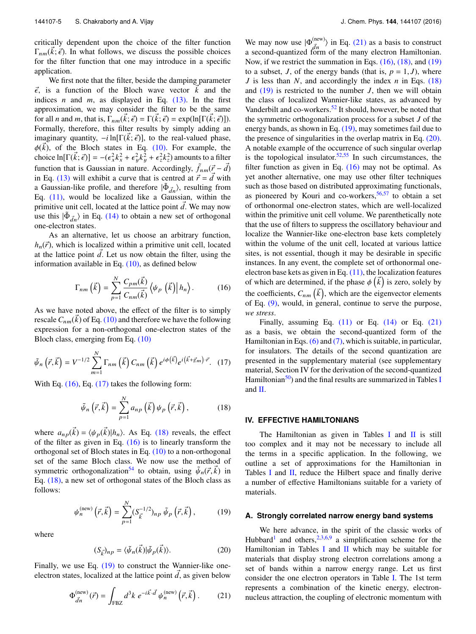critically dependent upon the choice of the filter function  $\Gamma_{nm}(k;\vec{\epsilon})$ . In what follows, we discuss the possible choices for the filter function that one may introduce in a specific application.

We first note that the filter, beside the damping parameter  $\vec{\epsilon}$ , is a function of the Bloch wave vector  $\vec{k}$  and the indices *n* and *m*, as displayed in Eq.  $(13)$ . In the first approximation, we may consider the filter to be the same for all *n* and *m*, that is,  $\Gamma_{nm}(\vec{k}; \vec{\epsilon}) = \Gamma(\vec{k}; \vec{\epsilon}) = \exp(\ln[\Gamma(\vec{k}; \vec{\epsilon})]).$ Formally, therefore, this filter results by simply adding an imaginary quantity,  $-i \ln[\Gamma(k; \vec{\epsilon})]$ , to the real-valued phase,  $\phi(\vec{k})$ , of the Bloch states in Eq. (10). For example, the choice  $\ln[\Gamma(\vec{k};\vec{\epsilon})] = -(\epsilon_x^2 k_x^2 + \epsilon_y^2 k_y^2 + \epsilon_z^2 k_z^2)$  amounts to a filter function that is Gaussian in nature. Accordingly,  $\tilde{f}_{nm}(\vec{r} - \vec{d})$ in Eq. (13) will exhibit a curve that is centred at  $\vec{r} = d$  with a Gaussian-like profile, and therefore  $|\tilde{\Phi}_{\vec{d}n}\rangle$ , resulting from Eq.  $(11)$ , would be localized like a Gaussian, within the primitive unit cell, located at the lattice point  $\vec{d}$ . We may now use this  $|\tilde{\Phi}_{d,n}\rangle$  in Eq. (14) to obtain a new set of orthogonal one-electron states.

As an alternative, let us choose an arbitrary function,  $h_n(\vec{r})$ , which is localized within a primitive unit cell, located at the lattice point  $\vec{d}$ . Let us now obtain the filter, using the information available in Eq.  $(10)$ , as defined below

$$
\Gamma_{nm}(\vec{k}) = \sum_{p=1}^{N} \frac{C_{pm}(\vec{k})}{C_{nm}(\vec{k})} \langle \psi_p(\vec{k}) | h_n \rangle.
$$
 (16)

As we have noted above, the effect of the filter is to simply rescale  $C_{nm}(k)$  of Eq. (10) and therefore we have the following expression for a non-orthogonal one-electron states of the Bloch class, emerging from Eq. (10)

$$
\tilde{\psi}_n\left(\vec{r},\vec{k}\right) = V^{-1/2} \sum_{m=1}^N \Gamma_{nm}\left(\vec{k}\right) C_{nm}\left(\vec{k}\right) e^{i\phi\left(\vec{k}\right)} e^{i\left(\vec{k}+\vec{g}_m\right)\cdot \vec{r}}.\tag{17}
$$

With Eq.  $(16)$ , Eq.  $(17)$  takes the following form:

$$
\tilde{\psi}_n\left(\vec{r},\vec{k}\right) = \sum_{p=1}^N a_{np}\left(\vec{k}\right)\psi_p\left(\vec{r},\vec{k}\right),\tag{18}
$$

where  $a_{np}(\vec{k}) = \langle \psi_p(\vec{k}) | h_n \rangle$ . As Eq. (18) reveals, the effect of the filter as given in Eq.  $(16)$  is to linearly transform the orthogonal set of Bloch states in Eq. (10) to a non-orthogonal set of the same Bloch class. We now use the method of symmetric orthogonalization<sup>54</sup> to obtain, using  $\tilde{\psi}_n(\vec{r}, \vec{k})$  in Eq. (18), a new set of orthogonal states of the Bloch class as follows:

$$
\psi_n^{\text{(new)}}\left(\vec{r},\vec{k}\right) = \sum_{p=1}^N (S_{\vec{k}}^{-1/2})_{np} \tilde{\psi}_p\left(\vec{r},\vec{k}\right),\tag{19}
$$

where

$$
(S_{\vec{k}})_{np} = \langle \tilde{\psi}_n(\vec{k}) | \tilde{\psi}_p(\vec{k}) \rangle.
$$
 (20)

Finally, we use Eq. (19) to construct the Wannier-like oneelectron states, localized at the lattice point  $\vec{d}$ , as given below

$$
\Phi_{\vec{d}n}^{(\text{new})}(\vec{r}) = \int_{\text{FBZ}} d^3k \ e^{-i\vec{k}\cdot\vec{d}} \psi_n^{(\text{new})}(\vec{r}, \vec{k}) \,. \tag{21}
$$

We may now use  $|\Phi_{\tau}^{(\text{new})}\rangle$  $\langle \frac{d^{(new)}}{d^n} \rangle$  in Eq. (21) as a basis to construct a second-quantized form of the many electron Hamiltonian. Now, if we restrict the summation in Eqs. (16), (18), and (19) to a subset, *J*, of the energy bands (that is,  $p = 1, J$ ), where *J* is less than *N*, and accordingly the index *n* in Eqs. (18) and (19) is restricted to the number *J*, then we will obtain the class of localized Wannier-like states, as advanced by Vanderbilt and co-workers.<sup>52</sup> It should, however, be noted that the symmetric orthogonalization process for a subset *J* of the energy bands, as shown in Eq.  $(19)$ , may sometimes fail due to the presence of singularities in the overlap matrix in Eq. (20). A notable example of the occurrence of such singular overlap is the topological insulator.<sup>52,55</sup> In such circumstances, the filter function as given in Eq.  $(16)$  may not be optimal. As yet another alternative, one may use other filter techniques such as those based on distributed approximating functionals, as pioneered by Kouri and co-workers,  $56,57$  to obtain a set of orthonormal one-electron states, which are well-localized within the primitive unit cell volume. We parenthetically note that the use of filters to suppress the oscillatory behaviour and localize the Wannier-like one-electron base kets completely within the volume of the unit cell, located at various lattice sites, is not essential, though it may be desirable in specific instances. In any event, the complete set of orthonormal oneelectron base kets as given in Eq.  $(11)$ , the localization features of which are determined, if the phase  $\phi\left(\vec{k}\right)$  is zero, solely by the coefficients,  $C_{nm}(\vec{k})$ , which are the eigenvector elements of Eq. (9), would, in general, continue to serve the purpose, *we stress*.

Finally, assuming Eq.  $(11)$  or Eq.  $(14)$  or Eq.  $(21)$ as a basis, we obtain the second-quantized form of the Hamiltonian in Eqs. (6) and (7), which is suitable, in particular, for insulators. The details of the second quantization are presented in the supplementary material (see supplementary material, Section IV for the derivation of the second-quantized Hamiltonian<sup>50</sup>) and the final results are summarized in Tables I and II.

# **IV. EFFECTIVE HAMILTONIANS**

The Hamiltonian as given in Tables I and  $\overline{II}$  is still too complex and it may not be necessary to include all the terms in a specific application. In the following, we outline a set of approximations for the Hamiltonian in Tables I and II, reduce the Hilbert space and finally derive a number of effective Hamiltonians suitable for a variety of materials.

### **A. Strongly correlated narrow energy band systems**

We here advance, in the spirit of the classic works of Hubbard<sup>1</sup> and others,  $2,3,6,9$  a simplification scheme for the Hamiltonian in Tables I and II which may be suitable for materials that display strong electron correlations among a set of bands within a narrow energy range. Let us first consider the one electron operators in Table I. The 1st term represents a combination of the kinetic energy, electronnucleus attraction, the coupling of electronic momentum with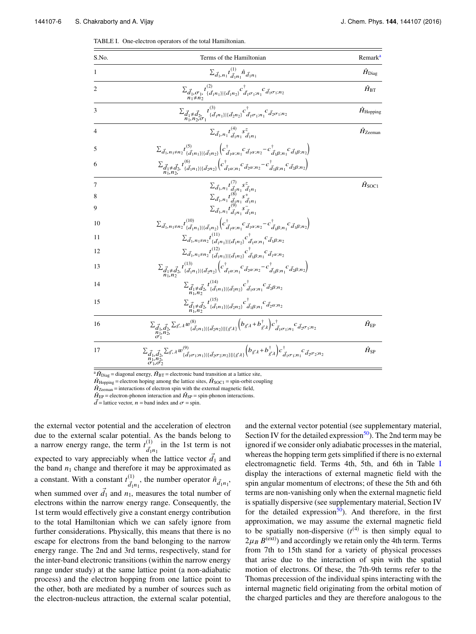| S.No.          | Terms of the Hamiltonian                                                                                                                                                                                                                                                                                                          | Remark <sup>a</sup>        |
|----------------|-----------------------------------------------------------------------------------------------------------------------------------------------------------------------------------------------------------------------------------------------------------------------------------------------------------------------------------|----------------------------|
|                | $\sum_{\vec{d}_1,n_1} t^{(1)}_{\vec{d}_1n_1} \hat{n}_{\vec{d}_1n_1}$                                                                                                                                                                                                                                                              | $\hat{H}_{\rm Diag}$       |
| $\overline{c}$ | $\Sigma_{\vec{d}_1, \sigma_1, t}^{ } \substack{t^{(2)} \\ \{\vec{d}_1n_1\} \{\vec{d}_1n_2\}} } c^\dagger_{\vec{d}_1 \sigma_1; n_1} c_{\vec{d}_1 \sigma_1; n_2}$                                                                                                                                                                   | $\hat{H}_{\text{BT}}$      |
| 3              | $\sum_{\vec{d}_1 \neq \vec{d}_2} t^{(3)}_{\{\vec{d}_1 n_1\} \{\vec{d}_2 n_2\}} c^{\dagger}_{\vec{d}_1 \sigma_1; n_1} c^{\dagger}_{\vec{d}_2 \sigma_1; n_2}$                                                                                                                                                                       | $\hat{H}_{\text{Hopping}}$ |
| 4              | $\sum_{\vec{d}_1,n_1} t^{(4)}_{\vec{d}_1n_1} s^z_{\vec{d}_2n_1}$                                                                                                                                                                                                                                                                  | $\hat{H}_{\text{Zeeman}}$  |
| 5              | $\Sigma_{\vec{d}_1,n_1\neq n_2} t^{(5)}_{\{\vec{d}_1n_1\}\in \{\vec{d}_1n_2\}} \Big(c^{\dagger}_{\vec{d}_1\alpha;n_1} c^{\phantom{\dagger}}_{\vec{d}_1\alpha;n_2} - c^{\dagger}_{\vec{d}_1\beta;n_1} c^{\phantom{\dagger}}_{\vec{d}_1\beta;n_2} \Big)$                                                                            |                            |
| 6              | $\sum_{\vec{d}_1 \neq \vec{d}_2} t_{\{\vec{d}_1 n_1\} \{\vec{d}_2 n_2\}}^{(6)} \left( c_{\vec{d}_1 \alpha; n_1}^{\dagger} c_{\vec{d}_2 \alpha; n_2}^{\dagger} - c_{\vec{d}_1 \beta; n_1}^{\dagger} c_{\vec{d}_2 \beta; n_2} \right)$                                                                                              |                            |
| 7              |                                                                                                                                                                                                                                                                                                                                   | $\hat{H}_{\text{SOC1}}$    |
| 8              |                                                                                                                                                                                                                                                                                                                                   |                            |
| $^{9}$         | $\begin{array}{l} \sum_{\vec{d}_1,n_1} t^{(7)}_{(\vec{d}_1n_1} s^z_{4 n_1}\\ \sum_{\vec{d}_1,n_1} t^{(8)}_{(\vec{d}_1n_1} s^+_{4 n_1}\\ \sum_{\vec{d}_1,n_1} t^{(9)}_{(\vec{d}_1n_1} s^-_{4 n_1} \end{array}$                                                                                                                     |                            |
| 10             | $\Sigma_{\vec{d}_1,n_1\neq n_2} t^{(10)}_{\{\vec{d}_1n_1\}\in \vec{d}_1n_2\}} \Big(c^\dagger_{\vec{d}_1\alpha;n_1} c_{\vec{d}_1\alpha;n_2} - c^\dagger_{\vec{d}_1\beta;n_1} c_{\vec{d}_1\beta;n_2} \Big)$                                                                                                                         |                            |
| 11             | $\sum_{\vec{d}_1,n_1\neq n_2}t^{(11)}_{\{\vec{d}_1n_1\}\mid \{\vec{d}_1n_2\}}c^{\dagger}_{\vec{d}_1\alpha;n_1}c_{\vec{d}_1\beta;n_2}$                                                                                                                                                                                             |                            |
| 12             | $\sum_{\vec{d}_1,n_1\neq n_2}\!\!\!t^{(12)}_{\{\vec{d}_1n_1\}\{\vec{d}_1n_2\}}c^\dagger_{\vec{d}_1\beta;n_1}c_{\vec{d}_1\alpha;n_2}$                                                                                                                                                                                              |                            |
| 13             | $\Sigma_{\vec d_1 \neq \vec d_2} t^{(13)}_{\{\vec d_1n_1\} \{\vec d_{2n_2}\}} \Big(c^{\dagger}_{\vec d_1\alpha;n_1} c^{\phantom{\dagger}}_{\vec d_2\alpha;n_2} - c^{\dagger}_{\vec d_1\beta;n_1} c^{\phantom{\dagger}}_{\vec d_2\beta;n_2} \Big)$                                                                                 |                            |
| 14             | $\sum_{\substack{\vec{d}_1 \neq \vec{d}_2, \\ n_1, n_2}} \int_{\{\vec{d}_1 n_1\} \mid \{\vec{d}_2 n_2\}}^{(14)} c^{\dagger}_{\vec{d}_1 \alpha; n_1} c^{\phantom{\dagger}}_{\vec{d}_2 \beta; n_2}$                                                                                                                                 |                            |
| 15             | $\sum_{\vec{d}_1 \neq \vec{d}_2,} t^{(15)}_{\{\vec{d}_1n_1\} \{\vec{d}_2n_2\}} c^{\dagger}_{\vec{d}_1\beta;n_1} c^{\phantom{\dagger}}_{\vec{d}_2\alpha;n_2}$                                                                                                                                                                      |                            |
| 16             | $\sum_{\substack{\vec{d}_1,\vec{d}_2\\ \vec{n}_1,\vec{n}_2}} \sum_{\vec{g},\lambda} \sum_{\vec{g},\lambda} w^{(8)}_{\{\vec{d}_1n_1\} \{\vec{d}_2n_2\} \{\vec{g}\lambda\}} \bigg(b_{\vec{g}\lambda} + b^{\dagger}_{\vec{g}\lambda}\bigg) c^{\dagger}_{\vec{d}_1\sigma_1;n_1} c^{\dagger}_{\vec{d}_2\sigma_1;n_2}$                  | $\hat{H}_{\text{EP}}$      |
| 17             | $\sum_{\substack{\vec{d}_1,\vec{d}_2,\vec{d}_3}}\sum_{\vec{g},\lambda} \sum_{\vec{g},\lambda} w^{(9)}_{\{\vec{d}_1\sigma_1;n_1\}\mid \{\vec{d}_2\sigma_2;n_2\}\mid \{\vec{g}\lambda\}} \Big(b_{\vec{g}\lambda}+b^{\dagger}_{\vec{g}\lambda}\Big)c^{\dagger}_{\vec{d}_1\sigma_1;n_1}c^{\phantom{\dagger}}_{\vec{d}_2\sigma_2;n_2}$ | $\hat{H}_{\rm SP}$         |
|                |                                                                                                                                                                                                                                                                                                                                   |                            |

TABLE I. One-electron operators of the total Hamiltonian.

<sup>a</sup> $\hat{H}_{\text{Diag}}$  = diagonal energy,  $\hat{H}_{\text{BT}}$  = electronic band transition at a lattice site,

 $\hat{H}_{\text{Hopping}} =$  electron hoping among the lattice sites,  $\hat{H}_{\text{SOC1}} =$  spin-orbit coupling

 $\hat{H}_{\text{Zeeman}}$  = interactions of electron spin with the external magnetic field,

 $\vec{d}$  = lattice vector, *n* = band index and  $\sigma$  = spin.

the external vector potential and the acceleration of electron due to the external scalar potential. As the bands belong to a narrow energy range, the term  $t^{(1)}_{\tau}$  $\frac{d^{(1)}}{d_1 n_1}$  in the 1st term is not expected to vary appreciably when the lattice vector  $\vec{d}_1$  and the band  $n_1$  change and therefore it may be approximated as a constant. With a constant  $t^{(1)}_{\tau}$  $\frac{d^{(1)}}{d_1n_1}$ , the number operator  $\hat{n}_{\vec{d}_1n_1}$ , when summed over  $\vec{d}_1$  and  $n_1$ , measures the total number of electrons within the narrow energy range. Consequently, the 1st term would effectively give a constant energy contribution to the total Hamiltonian which we can safely ignore from further considerations. Physically, this means that there is no escape for electrons from the band belonging to the narrow energy range. The 2nd and 3rd terms, respectively, stand for the inter-band electronic transitions (within the narrow energy range under study) at the same lattice point (a non-adiabatic process) and the electron hopping from one lattice point to the other, both are mediated by a number of sources such as the electron-nucleus attraction, the external scalar potential,

and the external vector potential (see supplementary material, Section IV for the detailed expression<sup>50</sup>). The 2nd term may be ignored if we consider only adiabatic processes in the material, whereas the hopping term gets simplified if there is no external electromagnetic field. Terms 4th, 5th, and 6th in Table I display the interactions of external magnetic field with the spin angular momentum of electrons; of these the 5th and 6th terms are non-vanishing only when the external magnetic field is spatially dispersive (see supplementary material, Section IV for the detailed expression<sup>50</sup>). And therefore, in the first approximation, we may assume the external magnetic field to be spatially non-dispersive  $(t^{(4)}$  is then simply equal to  $2\mu_B B^{(ext)}$ ) and accordingly we retain only the 4th term. Terms from 7th to 15th stand for a variety of physical processes that arise due to the interaction of spin with the spatial motion of electrons. Of these, the 7th-9th terms refer to the Thomas precession of the individual spins interacting with the internal magnetic field originating from the orbital motion of the charged particles and they are therefore analogous to the

 $\hat{H}_{\text{EP}}$  = electron-phonon interaction and  $\hat{H}_{\text{SP}}$  = spin-phonon interactions.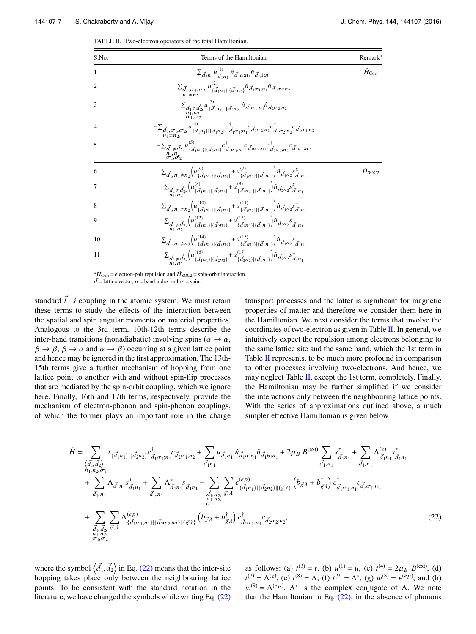TABLE II. Two-electron operators of the total Hamiltonian.

| S.No.          | Terms of the Hamiltonian                                                                                                                                                                                                                                                    | Remark <sup>a</sup>     |
|----------------|-----------------------------------------------------------------------------------------------------------------------------------------------------------------------------------------------------------------------------------------------------------------------------|-------------------------|
|                | $\sum_{\vec{d}_1 n_1} u^{(1)}_{\vec{d}_1 n_1} \hat{n}_{\vec{d}_1 \alpha; n_1} \hat{n}_{\vec{d}_1 \beta; n_1}$                                                                                                                                                               | $\hat{H}_{\rm Corr}$    |
| $\mathfrak{2}$ | $\sum_{\vec{d}_1,\sigma_1,\sigma_2} u^{(2)}_{\{\vec{d}_1n_1\} \{\vec{d}_1n_2\}} \hat{n}_{\vec{d}_1\sigma_1;n_1} \hat{n}_{\vec{d}_1\sigma_2;n_2}$                                                                                                                            |                         |
| 3              | $\Sigma_{\vec{d}_1 \neq \vec{d}_2} u^{(3)}_{\{\vec{d}_1 n_1\} \{\vec{d}_2 n_2\}} \hat{n}_{\vec{d}_1 \sigma_1; n_1} \hat{n}_{\vec{d}_2 \sigma_2; n_2}$                                                                                                                       |                         |
| $\overline{4}$ | $-\Sigma_{\vec{d}_1,\sigma_1,\sigma_2} u^{(4)}_{\{d,n_1\}\{d}_1\} \hat{c}_{\vec{d}_1\sigma_1;n_1}^\dagger c_{\vec{d}_1\sigma_1;n_1}^{\dagger} c_{\vec{d}_1\sigma_2;n_1}^{\dagger} c_{\vec{d}_1\sigma_2;n_2}^\dagger c_{\vec{d}_1\sigma_1;n_2}^{\dagger}$<br>$n_1 \neq n_2$  |                         |
| 5              | $-\sum_{\vec{d}_1 \neq \vec{d}_2} u_{\{\vec{d}_1 n_1\} \{\vec{d}_2 n_2\}}^{\left(5\right)} c_{\vec{d}_1 \sigma_1; n_1}^{\dagger} c_{\vec{d}_1 \sigma_2; n_1}^{\dagger} c_{\vec{d}_2 \sigma_2; n_2}^{\dagger} c_{\vec{d}_2 \sigma_1; n_2}^{\dagger}$<br>$\sigma_1, \sigma_2$ |                         |
| 6              | $\sum_{\vec{d}_1,n_1\neq n_2} \left(u^{(6)}_{\{\vec{d}_1n_1\}\{\vec{d}_1n_2\}}+u^{(7)}_{\{\vec{d}_1n_2\}\{\vec{d}_1n_1\}}\right)\hat{n}_{\vec{d}_1n_2} s^z_{\vec{d}_1n_1}$                                                                                                  | $\hat{H}_{\text{SOC2}}$ |
|                | $\Sigma_{\vec{d}_1 \neq \vec{d}_2} \Big( u^{(8)}_{\{\vec{d}_1 n_1\} \{\vec{d}_2 n_2\}} + u^{(9)}_{\{\vec{d}_2 n_2\} \{\vec{d}_1 n_1\}} \Big) \hat{n}_{\vec{d}_2 n_2} s^z_{\vec{d}_1 n_1}$                                                                                   |                         |
| 8              | $\sum_{\vec{d}_1,n_1\neq n_2} \left(u^{(10)}_{\{\vec{d}_1n_1\}\{\vec{d}_1n_2\}}+u^{(11)}_{\{\vec{d}_1n_2\}\{\vec{d}_1n_1\}}\right)\hat{n}_{\vec{d}_1n_2} s^+_{\vec{d}_1n_1}$                                                                                                |                         |
| $\mathbf Q$    | $\sum_{\vec{d}_1 \neq \vec{d}_2} \left( u^{(12)}_{\{\vec{d}_1 n_1\} \{\vec{d}_2 n_2\}} + u^{(13)}_{\{\vec{d}_2 n_2\} \{\vec{d}_1 n_1\}} \right) \hat{n}_{\vec{d}_2 n_2} s^+_{\vec{d}_1 n_1}$                                                                                |                         |
| 10             | $\sum_{\vec{d}_1,n_1\neq n_2} \left(u^{(14)}_{\{\vec{d}_1n_1\}\{\vec{d}_1n_2\}}+u^{(15)}_{\{\vec{d}_1n_2\}\{\vec{d}_1n_1\}}\right)\hat{n}_{\vec{d}_1n_2} s^{-}_{\vec{d}_1n_1}$                                                                                              |                         |
| 11             | $\sum_{\vec{d}_1 \neq \vec{d}_2} \left( u^{(16)}_{\{\vec{d}_1 n_1\} \{\vec{d}_2 n_2\}} + u^{(17)}_{\{\vec{d}_2 n_2\} \{\vec{d}_1 n_1\}} \right) \hat{n}_{\vec{d}_2 n_2} s_{\vec{d}_1 n_1}^-$                                                                                |                         |

<sup>a</sup> $\hat{H}_{\text{Corr}}$  = electron-pair repulsion and  $\hat{H}_{\text{SOC2}}$  = spin-orbit interaction.

 $\vec{d}$  = lattice vector, n = band index and  $\vec{\sigma}$  = spin.

standard  $\vec{l} \cdot \vec{s}$  coupling in the atomic system. We must retain these terms to study the effects of the interaction between the spatial and spin angular momenta on material properties. Analogous to the 3rd term, 10th-12th terms describe the inter-band transitions (nonadiabatic) involving spins ( $\alpha \rightarrow \alpha$ ,  $\beta \rightarrow \beta$ ,  $\beta \rightarrow \alpha$  and  $\alpha \rightarrow \beta$ ) occurring at a given lattice point and hence may be ignored in the first approximation. The 13th-15th terms give a further mechanism of hopping from one lattice point to another with and without spin-flip processes that are mediated by the spin-orbit coupling, which we ignore here. Finally, 16th and 17th terms, respectively, provide the mechanism of electron-phonon and spin-phonon couplings, of which the former plays an important role in the charge

transport processes and the latter is significant for magnetic properties of matter and therefore we consider them here in the Hamiltonian. We next consider the terms that involve the coordinates of two-electron as given in Table II. In general, we intuitively expect the repulsion among electrons belonging to the same lattice site and the same band, which the 1st term in Table II represents, to be much more profound in comparison to other processes involving two-electrons. And hence, we may neglect Table II, except the 1st term, completely. Finally, the Hamiltonian may be further simplified if we consider the interactions only between the neighbouring lattice points. With the series of approximations outlined above, a much simpler effective Hamiltonian is given below

$$
\hat{H} = \sum_{\substack{\langle \vec{d}_1, \vec{d}_2 \rangle \\ n_1, n_2, \sigma_1}} t_{\{\vec{d}_1 n_1\}|\{\vec{d}_2 n_2\}} c^{\dagger}_{\vec{d}_1 \sigma_1; n_1} c^{\dagger}_{\vec{d}_2 \sigma_1; n_2} + \sum_{\vec{d}_1 n_1} u_{\vec{d}_1 n_1} \hat{n}_{\vec{d}_1 \sigma; n_1} \hat{n}_{\vec{d}_1 \beta; n_1} + 2 \mu_B B^{(\text{ext})} \sum_{\vec{d}_1, n_1} s^z_{\vec{d}_1 n_1} + \sum_{\vec{d}_1, n_1} \Lambda^{(z)}_{\vec{d}_1 n_1} s^z_{\vec{d}_1 n_1} + \sum_{\vec{d}_1, n_1} \Lambda^{(z)}_{\vec{d}_1 n_1} \hat{n}_{\vec{d}_1 n_1} + \sum_{\vec{d}_1, n_1} \Lambda^{*}_{\vec{d}_1 n_1} s^{\dagger}_{\vec{d}_1 n_1} + \sum_{\substack{\vec{d}_1, \vec{d}_2 \end{math}} \Lambda^{*}_{\vec{d}_1 n_1} s^{\dagger}_{\vec{d}_1 n_1} + \sum_{\substack{\vec{d}_1, \vec{d}_2 \end{math}} \Lambda^{*}_{\vec{d}_1 n_1} s^{\dagger}_{\vec{d}_1 n_1} + \sum_{\substack{\vec{d}_1, \vec{d}_2 \end{math}} \sum_{\substack{\vec{g}, \vec{\lambda} \\ n_1, n_2}} \epsilon^{(ep)}_{\{\vec{d}_1 n_1\}|\{\vec{d}_2 n_2\}|\{\vec{g}\lambda\}} \left(b_{\vec{g}\lambda} + b_{\vec{g}\lambda}^{\dagger}\right) c^{\dagger}_{\vec{d}_1 \sigma_1; n_1} c_{\vec{d}_2 \sigma_2; n_2},
$$
\n
$$
+ \sum_{\substack{\vec{d}_1, \vec{d}_2, \vec{g}, \vec{\lambda} \\ n_1, n_2}} \Lambda^{(ep)}_{\vec{d}_1 \sigma_1; n_1\}|\{\vec{d}_2 \sigma_2; n_2\}|\{\vec{g}\lambda\}} \left(b_{\vec{g}\lambda} + b_{\vec{g}\lambda}^{\dagger}\right) c^{\dagger}_{\vec{d}_1 \sigma
$$

where the symbol  $\langle \vec{d}_1, \vec{d}_2 \rangle$  in Eq. (22) means that the inter-site hopping takes place only between the neighbouring lattice points. To be consistent with the standard notation in the literature, we have changed the symbols while writing Eq. (22)

as follows: (a)  $t^{(3)} = t$ , (b)  $u^{(1)} = u$ , (c)  $t^{(4)} = 2\mu_B B^{(ext)}$ , (d)  $t^{(7)} = \Lambda^{(z)}$ , (e)  $t^{(8)} = \Lambda$ , (f)  $t^{(9)} = \Lambda^*$ , (g)  $w^{(8)} = \epsilon^{(ep)}$ , and (h)  $w^{(9)} = \Lambda^{(ep)}$ .  $\Lambda^*$  is the complex conjugate of  $\Lambda$ . We note that the Hamiltonian in Eq.  $(22)$ , in the absence of phonons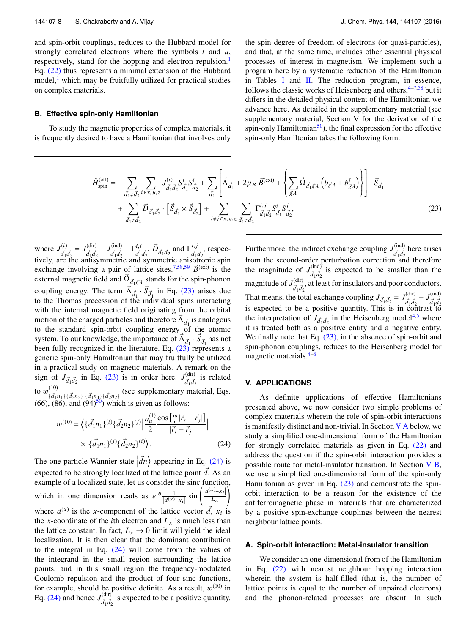and spin-orbit couplings, reduces to the Hubbard model for strongly correlated electrons where the symbols *t* and *u*, respectively, stand for the hopping and electron repulsion.<sup>1</sup> Eq. (22) thus represents a minimal extension of the Hubbard model, $\frac{1}{x}$  which may be fruitfully utilized for practical studies on complex materials.

# **B. Effective spin-only Hamiltonian**

To study the magnetic properties of complex materials, it is frequently desired to have a Hamiltonian that involves only

the spin degree of freedom of electrons (or quasi-particles), and that, at the same time, includes other essential physical processes of interest in magnetism. We implement such a program here by a systematic reduction of the Hamiltonian in Tables I and II. The reduction program, in essence, follows the classic works of Heisenberg and others,  $4-7.58$  but it differs in the detailed physical content of the Hamiltonian we advance here. As detailed in the supplementary material (see supplementary material, Section V for the derivation of the spin-only Hamiltonian<sup>50</sup>), the final expression for the effective spin-only Hamiltonian takes the following form:

$$
\hat{H}_{spin}^{(eff)} = -\sum_{\vec{d}_1 \neq \vec{d}_2} \sum_{i \in x, y, z} J_{\vec{d}_1 \vec{d}_2}^{(i)} S_{\vec{d}_1}^i S_{\vec{d}_2}^i + \sum_{\vec{d}_1} \left[ \vec{\Lambda}_{\vec{d}_1} + 2 \mu_B \ \vec{B}^{(ext)} + \left\{ \sum_{\vec{g} \neq \vec{l}} \vec{\Omega}_{\vec{d}_1 \vec{g} \cdot \vec{l}} \left( b_{\vec{g} \cdot \vec{l}} + b_{\vec{g} \cdot \vec{l}}^{\dagger} \right) \right\} \right] \cdot \vec{S}_{\vec{d}_1} + \sum_{\vec{d}_1 \neq \vec{d}_2} \vec{D}_{\vec{d}_1 \vec{d}_2} \cdot \left[ \vec{S}_{\vec{d}_1} \times \vec{S}_{\vec{d}_2} \right] + \sum_{i \neq j \in x, y, z} \sum_{\vec{d}_1 \neq \vec{d}_2} \Gamma_{\vec{d}_1 \vec{d}_2}^{i, j} S_{\vec{d}_1}^i S_{\vec{d}_2}^j, \tag{23}
$$

where  $J^{(i)}_{\tau}$  $d_1 d_2 = J_{\vec{d}_1 \vec{d}_2}^{(\text{dir})}$  $\frac{d}{d_1 d_2} - J_{\vec{d}_1 \vec{d}_2}^{\text{(ind)}}$  $\frac{d}{d_1 d_2} - \Gamma_{\overline{d}_1}^{i,i}$  $d_1 d_2$   $\vec{D}_{\vec{d}_1 \vec{d}_2}$  and  $\Gamma^{i,j}_{\vec{d}_1}$  $\vec{d}_1 \vec{d}_2$ , respectively, are the antisymmetric and symmetric anisotropic spin exchange involving a pair of lattice sites.<sup>7,58,59</sup>  $\vec{B}^{(ext)}$  is the external magnetic field and  $\vec{\Omega}_{d_1\vec{g},\lambda}$  stands for the spin-phonon coupling energy. The term  $\vec{\Lambda}_{d_1} \cdot \vec{S}_{d_1}$  in Eq. (23) arises due to the Thomas precession of the individual spins interacting with the internal magnetic field originating from the orbital motion of the charged particles and therefore  $\vec{\Lambda}_{\vec{d}_1}$  is analogous to the standard spin-orbit coupling energy of the atomic system. To our knowledge, the importance of  $\vec{\Lambda}_{d_1} \cdot \vec{S}_{d_1}$  has not been fully recognized in the literature. Eq.  $(23)$  represents a generic spin-only Hamiltonian that may fruitfully be utilized in a practical study on magnetic materials. A remark on the sign of  $J_{\vec{d}_1\vec{d}_2}$  in Eq. (23) is in order here.  $J_{\vec{d}_1\vec{d}_2}^{(\text{dir})}$  $\frac{d^{(dir)}}{d_1 d_2}$  is related to  $w^{(10)}_{17}$  $\{d_{1n_1}\}\{d_{2n_2}\}\{d_{1n_1}\}\{d_{2n_2}\}$  (see supplementary material, Eqs.  $(66)$ ,  $(86)$ , and  $(94)$ <sup>50</sup>) which is given as follows:

$$
w^{(10)} = \left\langle \{ \vec{d}_1 n_1 \}^{(i)} \{ \vec{d}_2 n_2 \}^{(j)} \right| \frac{a_u^{(1)}}{2} \frac{\cos \left[ \frac{\omega}{c} |\vec{r}_i - \vec{r}_j| \right]}{|\vec{r}_i - \vec{r}_j|} \right|
$$
  
 
$$
\times \{ \vec{d}_1 n_1 \}^{(j)} \{ \vec{d}_2 n_2 \}^{(i)} \right\rangle.
$$
 (24)

The one-particle Wannier state  $\left| \vec{d}n \right\rangle$  appearing in Eq. (24) is expected to be strongly localized at the lattice point  $\overrightarrow{d}$ . As an example of a localized state, let us consider the sinc function, which in one dimension reads as  $e^{i\theta} \frac{1}{|d^{(x)} - x_i|} \sin \left( \frac{|d^{(x)} - x_i|}{L_x} \right)$ ) where  $d^{(x)}$  is the *x*-component of the lattice vector  $\vec{d}$ ,  $x_i$  is the *x*-coordinate of the *i*th electron and  $L<sub>x</sub>$  is much less than the lattice constant. In fact,  $L_x \rightarrow 0$  limit will yield the ideal localization. It is then clear that the dominant contribution to the integral in Eq. (24) will come from the values of the integrand in the small region surrounding the lattice points, and in this small region the frequency-modulated Coulomb repulsion and the product of four sinc functions, for example, should be positive definite. As a result,  $w^{(10)}$  in Eq. (24) and hence  $J_{7/7}^{(\text{dir})}$  $\frac{d}{dq}$  is expected to be a positive quantity.

Furthermore, the indirect exchange coupling  $J_{\tau}^{(ind)}$  $\frac{d_1 d_2}{d_1 d_2}$  here arises from the second-order perturbation correction and therefore the magnitude of  $J_{7}^{(\text{ind})}$  $\frac{d_{\text{ind}}}{d_1 d_2}$  is expected to be smaller than the magnitude of  $J_{\tau}^{\text{(dir)}}$  $\frac{d(u)}{d_1 d_2}$ , at least for insulators and poor conductors. That means, the total exchange coupling  $J_{\vec{d}_1 \vec{d}_2} = J_{\vec{d}_1 \vec{d}_2}^{(\text{dir})}$  $\frac{d}{d_1 d_2} - J_{\vec{d}_1 \vec{d}_2}^{\text{(ind)}}$ That means, the total exeming ecoupling  $J_{d_1d_2} - J_{\vec{d}_1\vec{d}_2} - J_{\vec{d}_1\vec{d}_2}$ <br>is expected to be a positive quantity. This is in contrast to the interpretation of  $J_{\vec{d}_1 \vec{d}_2}$  in the Heisenberg model<sup>4,5</sup> where it is treated both as a positive entity and a negative entity. We finally note that Eq.  $(23)$ , in the absence of spin-orbit and spin-phonon couplings, reduces to the Heisenberg model for magnetic materials.<sup>4–6</sup>

# **V. APPLICATIONS**

As definite applications of effective Hamiltonians presented above, we now consider two simple problems of complex materials wherein the role of spin-orbit interactions is manifestly distinct and non-trivial. In Section V A below, we study a simplified one-dimensional form of the Hamiltonian for strongly correlated materials as given in Eq. (22) and address the question if the spin-orbit interaction provides a possible route for metal-insulator transition. In Section V B, we use a simplified one-dimensional form of the spin-only Hamiltonian as given in Eq. (23) and demonstrate the spinorbit interaction to be a reason for the existence of the antiferromagnetic phase in materials that are characterized by a positive spin-exchange couplings between the nearest neighbour lattice points.

#### **A. Spin-orbit interaction: Metal-insulator transition**

We consider an one-dimensional from of the Hamiltonian in Eq. (22) with nearest neighbour hopping interaction wherein the system is half-filled (that is, the number of lattice points is equal to the number of unpaired electrons) and the phonon-related processes are absent. In such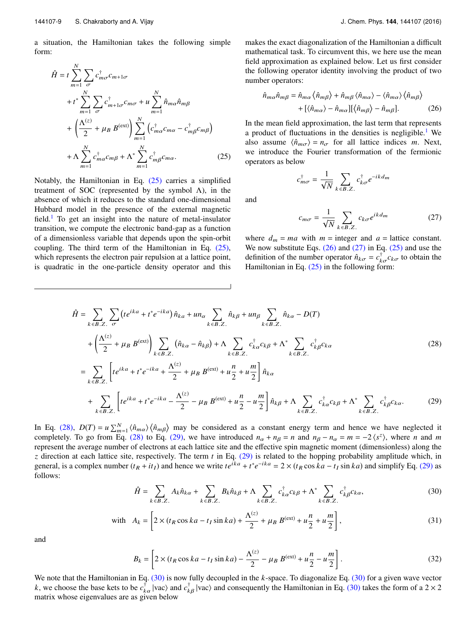a situation, the Hamiltonian takes the following simple form:

$$
\hat{H} = t \sum_{m=1}^{N} \sum_{\sigma} c_{m\sigma}^{\dagger} c_{m+1\sigma}
$$
\n
$$
+ t^* \sum_{m=1}^{N} \sum_{\sigma} c_{m+1\sigma}^{\dagger} c_{m\sigma} + u \sum_{m=1}^{N} \hat{n}_{m\alpha} \hat{n}_{m\beta}
$$
\n
$$
+ \left(\frac{\Lambda^{(z)}}{2} + \mu_B B^{(ext)}\right) \sum_{m=1}^{N} \left(c_{m\alpha}^{\dagger} c_{m\alpha} - c_{m\beta}^{\dagger} c_{m\beta}\right)
$$
\n
$$
+ \Lambda \sum_{m=1}^{N} c_{m\alpha}^{\dagger} c_{m\beta} + \Lambda^* \sum_{m=1}^{N} c_{m\beta}^{\dagger} c_{m\alpha}. \tag{25}
$$

Notably, the Hamiltonian in Eq. (25) carries a simplified treatment of SOC (represented by the symbol  $\Lambda$ ), in the absence of which it reduces to the standard one-dimensional Hubbard model in the presence of the external magnetic field.<sup>1</sup> To get an insight into the nature of metal-insulator transition, we compute the electronic band-gap as a function of a dimensionless variable that depends upon the spin-orbit coupling. The third term of the Hamiltonian in Eq. (25), which represents the electron pair repulsion at a lattice point, is quadratic in the one-particle density operator and this

makes the exact diagonalization of the Hamiltonian a difficult mathematical task. To circumvent this, we here use the mean field approximation as explained below. Let us first consider the following operator identity involving the product of two number operators:

$$
\hat{n}_{m\alpha}\hat{n}_{m\beta} = \hat{n}_{m\alpha}\left\langle \hat{n}_{m\beta} \right\rangle + \hat{n}_{m\beta}\left\langle \hat{n}_{m\alpha} \right\rangle - \left\langle \hat{n}_{m\alpha} \right\rangle\left\langle \hat{n}_{m\beta} \right\rangle \n+ \left[ \left\langle \hat{n}_{m\alpha} \right\rangle - \hat{n}_{m\alpha} \right] \left[ \left\langle \hat{n}_{m\beta} \right\rangle - \hat{n}_{m\beta} \right].
$$
\n(26)

In the mean field approximation, the last term that represents a product of fluctuations in the densities is negligible.<sup>1</sup> We also assume  $\langle \hat{n}_{m\sigma} \rangle = n_{\sigma}$  for all lattice indices *m*. Next, we introduce the Fourier transformation of the fermionic operators as below

$$
c_{m\sigma}^{\dagger} = \frac{1}{\sqrt{N}} \sum_{k \in B.Z.} c_{k\sigma}^{\dagger} e^{-ikd_m}
$$

$$
c_{m\sigma} = \frac{1}{\sqrt{N}} \sum_{k \in B.Z.} c_{k\sigma} e^{ikd_m} \tag{27}
$$

where  $d_m = ma$  with  $m =$  integer and  $a =$  lattice constant. We now substitute Eqs.  $(26)$  and  $(27)$  in Eq.  $(25)$  and use the definition of the number operator  $\hat{n}_{k\sigma} = c_{k\sigma}^{\dagger} c_{k\sigma}$  to obtain the Hamiltonian in Eq.  $(25)$  in the following form:

$$
\hat{H} = \sum_{k \in B. Z.} \sum_{\sigma} \left( t e^{ika} + t^* e^{-ika} \right) \hat{n}_{ka} + un_{\alpha} \sum_{k \in B. Z.} \hat{n}_{k\beta} + un_{\beta} \sum_{k \in B. Z.} \hat{n}_{ka} - D(T)
$$
\n
$$
+ \left( \frac{\Lambda^{(z)}}{2} + \mu_B B^{(ext)} \right) \sum_{k \in B. Z.} \left( \hat{n}_{k\alpha} - \hat{n}_{k\beta} \right) + \Lambda \sum_{k \in B. Z.} c_{k\alpha}^{\dagger} c_{k\beta} + \Lambda^* \sum_{k \in B. Z.} c_{k\beta}^{\dagger} c_{k\alpha}
$$
\n
$$
= \sum_{k \in B. Z.} \left[ t e^{ika} + t^* e^{-ika} + \frac{\Lambda^{(z)}}{2} + \mu_B B^{(ext)} + u \frac{n}{2} + u \frac{m}{2} \right] \hat{n}_{k\alpha}
$$
\n
$$
+ \sum_{k \in B. Z.} \left[ t e^{ika} + t^* e^{-ika} - \frac{\Lambda^{(z)}}{2} - \mu_B B^{(ext)} + u \frac{n}{2} - u \frac{m}{2} \right] \hat{n}_{k\beta} + \Lambda \sum_{k \in B. Z.} c_{k\alpha}^{\dagger} c_{k\beta} + \Lambda^* \sum_{k \in B. Z.} c_{k\beta}^{\dagger} c_{k\alpha}.
$$
\n(29)

and

In Eq. (28),  $D(T) = u \sum_{m=1}^{N} \langle \hat{n}_{m\alpha} \rangle \langle \hat{n}_{m\beta} \rangle$  may be considered as a constant energy term and hence we have neglected it completely. To go from Eq. (28) to Eq. (29), we have introduced  $n_{\alpha} + n_{\beta} = n$  and  $n_{\beta} - n_{\alpha} = m = -2 \langle s^z \rangle$ , where *n* and *m* represent the average number of electrons at each lattice site and the effective spin magnetic moment (dimensionless) along the *z* direction at each lattice site, respectively. The term *t* in Eq. (29) is related to the hopping probability amplitude which, in general, is a complex number  $(t_R + it_I)$  and hence we write  $te^{ika} + t^*e^{-ika} = 2 \times (t_R \cos ka - t_I \sin ka)$  and simplify Eq. (29) as follows:

$$
\hat{H} = \sum_{k \in B.Z.} A_k \hat{n}_{k\alpha} + \sum_{k \in B.Z.} B_k \hat{n}_{k\beta} + \Lambda \sum_{k \in B.Z.} c_{k\alpha}^{\dagger} c_{k\beta} + \Lambda^* \sum_{k \in B.Z.} c_{k\beta}^{\dagger} c_{k\alpha},
$$
\n(30)

with 
$$
A_k = \left[2 \times (t_R \cos ka - t_I \sin ka) + \frac{\Lambda^{(z)}}{2} + \mu_B B^{(ext)} + u \frac{n}{2} + u \frac{m}{2}\right],
$$
 (31)

and

$$
B_k = \left[2 \times (t_R \cos ka - t_I \sin ka) - \frac{\Lambda^{(z)}}{2} - \mu_B B^{(ext)} + u \frac{n}{2} - u \frac{m}{2}\right].
$$
 (32)

We note that the Hamiltonian in Eq. (30) is now fully decoupled in the *k*-space. To diagonalize Eq. (30) for a given wave vector *k*, we choose the base kets to be  $c_{k\alpha}^{\dagger}$  |vac $\rangle$  and *c*<sup>†</sup> (vac) and consequently the Hamiltonian in Eq. (30) takes the form of a 2 × 2 matrix whose eigenvalues are as given below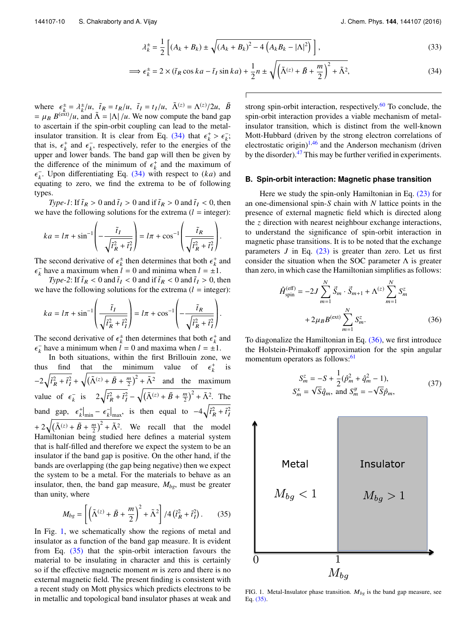$$
\lambda_k^{\pm} = \frac{1}{2} \left[ (A_k + B_k) \pm \sqrt{(A_k + B_k)^2 - 4 \left( A_k B_k - |\Lambda|^2 \right)} \right],
$$
\n(33)

$$
\implies \epsilon_k^{\pm} = 2 \times (\tilde{t}_R \cos ka - \tilde{t}_I \sin ka) + \frac{1}{2}n \pm \sqrt{\left(\tilde{\Lambda}^{(z)} + \tilde{B} + \frac{m}{2}\right)^2 + \tilde{\Lambda}^2},\tag{34}
$$

where  $\epsilon_{\vec{k},\vec{k}}^{\pm} = \lambda_{\vec{k}}^{\pm}/u$ ,  $\tilde{t}_R = t_R/u$ ,  $\tilde{t}_I = t_I/u$ ,  $\tilde{\Lambda}^{(z)} = \Lambda^{(z)}/2u$ ,  $\tilde{B}$  $= \mu_B B^{(ext)}/u$ , and  $\tilde{\Lambda} = |\Lambda|/u$ . We now compute the band gap to ascertain if the spin-orbit coupling can lead to the metalinsulator transition. It is clear from Eq. (34) that  $\epsilon_k^+ > \epsilon_k^-$ ; that is,  $\epsilon_k^+$  and  $\epsilon_k^-$ , respectively, refer to the energies of the upper and lower bands. The band gap will then be given by the difference of the minimum of  $\epsilon_k^+$  and the maximum of  $\epsilon_k^-$ . Upon differentiating Eq. (34) with respect to  $(ka)$  and equating to zero, we find the extrema to be of following types.

*Type-1*: If  $\tilde{t}_R > 0$  and  $\tilde{t}_I > 0$  and if  $\tilde{t}_R > 0$  and  $\tilde{t}_I < 0$ , then we have the following solutions for the extrema  $(l =$  integer):

$$
ka = l\pi + \sin^{-1}\left(-\frac{\tilde{t}_I}{\sqrt{\tilde{t}_R^2 + \tilde{t}_I^2}}\right) = l\pi + \cos^{-1}\left(\frac{\tilde{t}_R}{\sqrt{\tilde{t}_R^2 + \tilde{t}_I^2}}\right).
$$

The second derivative of  $\epsilon_k^{\pm}$  then determines that both  $\epsilon_k^+$  and  $\epsilon_k^-$  have a maximum when  $l = 0$  and minima when  $l = \pm 1$ .

*Type-2*: If  $\tilde{t}_R < 0$  and  $\tilde{t}_I < 0$  and if  $\tilde{t}_R < 0$  and  $\tilde{t}_I > 0$ , then we have the following solutions for the extrema  $(l =$  integer):

$$
ka = l\pi + \sin^{-1}\left(\frac{\tilde{t}_I}{\sqrt{\tilde{t}_R^2 + \tilde{t}_I^2}}\right) = l\pi + \cos^{-1}\left(-\frac{\tilde{t}_R}{\sqrt{\tilde{t}_R^2 + \tilde{t}_I^2}}\right).
$$

The second derivative of  $\epsilon_k^{\pm}$  then determines that both  $\epsilon_k^+$  and  $\epsilon_k^-$  have a minimum when  $l = 0$  and maxima when  $l = \pm 1$ .

In both situations, within the first Brillouin zone, we thus find that the minimum value of  $\epsilon_k^+$ is  $-2\sqrt{\tilde{t}_R^2 + \tilde{t}_I^2} + \sqrt{(\tilde{\Lambda}^{(z)} + \tilde{B} + \frac{m}{2})^2 + \tilde{\Lambda}^2}$  and the maximum value of  $\epsilon_{\vec{k}}$  is  $2\sqrt{\tilde{t}_{\vec{R}}^2 + \tilde{t}_{\vec{l}}^2} - \sqrt{(\tilde{\Lambda}^{(z)} + \tilde{B} + \frac{m}{2})^2 + \tilde{\Lambda}^2}$ . The band gap,  $\epsilon_k^+|_{\text{min}} - \epsilon_k^-|_{\text{max}}$ , is then equal to  $-4\sqrt{\tilde{t}_R^2 + \tilde{t}_I^2}$ +  $2\sqrt{(\tilde{\Lambda}^{(z)} + \tilde{B} + \frac{m}{2})^2 + \tilde{\Lambda}^2}$ . We recall that the model Hamiltonian being studied here defines a material system that is half-filled and therefore we expect the system to be an insulator if the band gap is positive. On the other hand, if the bands are overlapping (the gap being negative) then we expect the system to be a metal. For the materials to behave as an insulator, then, the band gap measure,  $M_{bg}$ , must be greater than unity, where

$$
M_{bg} = \left[ \left( \tilde{\Lambda}^{(z)} + \tilde{B} + \frac{m}{2} \right)^2 + \tilde{\Lambda}^2 \right] / 4 \left( \tilde{t}_R^2 + \tilde{t}_I^2 \right). \tag{35}
$$

In Fig. 1, we schematically show the regions of metal and insulator as a function of the band gap measure. It is evident from Eq.  $(35)$  that the spin-orbit interaction favours the material to be insulating in character and this is certainly so if the effective magnetic moment *m* is zero and there is no external magnetic field. The present finding is consistent with a recent study on Mott physics which predicts electrons to be in metallic and topological band insulator phases at weak and

strong spin-orbit interaction, respectively.<sup>60</sup> To conclude, the spin-orbit interaction provides a viable mechanism of metalinsulator transition, which is distinct from the well-known Mott-Hubbard (driven by the strong electron correlations of electrostatic origin) $1,46$  and the Anderson mechanism (driven by the disorder). $47$  This may be further verified in experiments.

### **B. Spin-orbit interaction: Magnetic phase transition**

Here we study the spin-only Hamiltonian in Eq.  $(23)$  for an one-dimensional spin-*S* chain with *N* lattice points in the presence of external magnetic field which is directed along the *z* direction with nearest neighbour exchange interactions, to understand the significance of spin-orbit interaction in magnetic phase transitions. It is to be noted that the exchange parameters  $J$  in Eq.  $(23)$  is greater than zero. Let us first consider the situation when the SOC parameter  $\Lambda$  is greater than zero, in which case the Hamiltonian simplifies as follows:

$$
\hat{H}_{spin}^{(eff)} = -2J \sum_{m=1}^{N} \vec{S}_m \cdot \vec{S}_{m+1} + \Lambda^{(z)} \sum_{m=1}^{N} S_m^z + 2\mu_B B^{(ext)} \sum_{m=1}^{N} S_m^z.
$$
\n(36)

To diagonalize the Hamiltonian in Eq.  $(36)$ , we first introduce the Holstein-Primakoff approximation for the spin angular momentum operators as follows:<sup>61</sup>

$$
S_m^z = -S + \frac{1}{2}(\hat{p}_m^2 + \hat{q}_m^2 - 1),
$$
  
\n
$$
S_m^x = \sqrt{S}\hat{q}_m, \text{ and } S_m^y = -\sqrt{S}\hat{p}_m,
$$
\n(37)



FIG. 1. Metal-Insulator phase transition.  $M_{bg}$  is the band gap measure, see Eq. (35).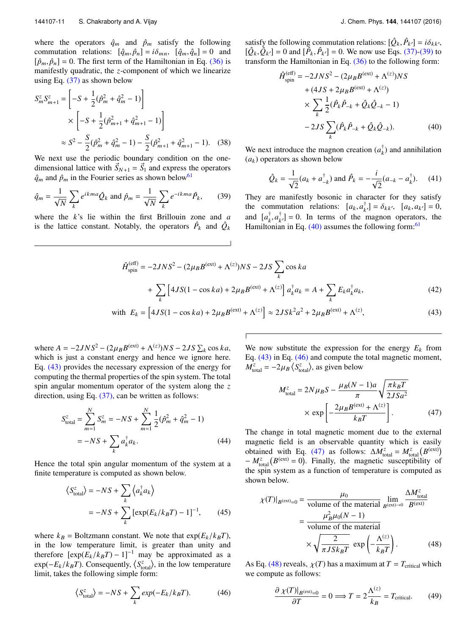where the operators  $\hat{q}_m$  and  $\hat{p}_m$  satisfy the following commutation relations:  $[\hat{q}_m, \hat{p}_n] = i\delta_{mn}$ ,  $[\hat{q}_m, \hat{q}_n] = 0$  and  $[\hat{p}_m, \hat{p}_n] = 0$ . The first term of the Hamiltonian in Eq. (36) is manifestly quadratic, the *z*-component of which we linearize using Eq.  $(37)$  as shown below

$$
S_m^z S_{m+1}^z = \left[ -S + \frac{1}{2} (\hat{p}_m^2 + \hat{q}_m^2 - 1) \right]
$$
  
 
$$
\times \left[ -S + \frac{1}{2} (\hat{p}_{m+1}^2 + \hat{q}_{m+1}^2 - 1) \right]
$$
  
 
$$
\approx S^2 - \frac{S}{2} (\hat{p}_m^2 + \hat{q}_m^2 - 1) - \frac{S}{2} (\hat{p}_{m+1}^2 + \hat{q}_{m+1}^2 - 1). \quad (38)
$$

We next use the periodic boundary condition on the onedimensional lattice with  $\vec{S}_{N+1} = \vec{S}_1$  and express the operators  $\hat{q}_m$  and  $\hat{p}_m$  in the Fourier series as shown below<sup>61</sup>

$$
\hat{q}_m = \frac{1}{\sqrt{N}} \sum_k e^{ikma} \hat{Q}_k \text{ and } \hat{p}_m = \frac{1}{\sqrt{N}} \sum_k e^{-ikma} \hat{P}_k,
$$
 (39)

where the *k*'s lie within the first Brillouin zone and *a* is the lattice constant. Notably, the operators  $\hat{P}_k$  and  $\hat{Q}_k$ 

satisfy the following commutation relations:  $[\hat{Q}_k, \hat{P}_{k'}] = i\delta_{kk'},$  $[\hat{Q}_k, \hat{Q}_{k'}] = 0$  and  $[\hat{P}_k, \hat{P}_{k'}] = 0$ . We now use Eqs. (37)-(39) to transform the Hamiltonian in Eq. (36) to the following form:

$$
\hat{H}_{\text{spin}}^{(\text{eff})} = -2JNS^{2} - (2\mu_{B}B^{(\text{ext})} + \Lambda^{(z)})NS
$$
  
+  $(4JS + 2\mu_{B}B^{(\text{ext})} + \Lambda^{(z)})$   
 $\times \sum_{k} \frac{1}{2} (\hat{P}_{k}\hat{P}_{-k} + \hat{Q}_{k}\hat{Q}_{-k} - 1)$   
-  $2JS \sum_{k} (\hat{P}_{k}\hat{P}_{-k} + \hat{Q}_{k}\hat{Q}_{-k}).$  (40)

We next introduce the magnon creation  $(a_k^{\dagger})$  and annihilation  $(a_k)$  operators as shown below

$$
\hat{Q}_k = \frac{1}{\sqrt{2}} (a_k + a_{-k}^\dagger) \text{ and } \hat{P}_k = -\frac{i}{\sqrt{2}} (a_{-k} - a_k^\dagger). \tag{41}
$$

They are manifestly bosonic in character for they satisfy the commutation relations:  $[a_k, a_{k'}^{\dagger}] = \delta_{kk'}, [a_k, a_{k'}^{\dagger}] = 0$ , and  $[a_k^{\dagger}, a_{k'}^{\dagger}] = 0$ . In terms of the magnon operators, the Hamiltonian in Eq.  $(40)$  assumes the following form:<sup>61</sup>

$$
\hat{H}_{\text{spin}}^{(\text{eff})} = -2JNS^{2} - (2\mu_{B}B^{(\text{ext})} + \Lambda^{(z)})NS - 2JS \sum_{k} \cos ka \n+ \sum_{k} \left[ 4JS(1 - \cos ka) + 2\mu_{B}B^{(\text{ext})} + \Lambda^{(z)} \right] a_{k}^{\dagger} a_{k} = A + \sum_{k} E_{k} a_{k}^{\dagger} a_{k},
$$
\n(42)

with 
$$
E_k = [4JS(1 - \cos ka) + 2\mu_B B^{(\text{ext})} + \Lambda^{(z)}] \approx 2JSk^2a^2 + 2\mu_B B^{(\text{ext})} + \Lambda^{(z)},
$$
 (43)

where  $A = -2JNS^2 - (2\mu_B B^{(ext)} + \Lambda^{(z)})NS - 2JS \sum_k \cos ka$ , which is just a constant energy and hence we ignore here. Eq. (43) provides the necessary expression of the energy for computing the thermal properties of the spin system. The total spin angular momentum operator of the system along the *z* direction, using Eq. (37), can be written as follows:

$$
S_{\text{total}}^{z} = \sum_{m=1}^{N} S_{m}^{z} = -NS + \sum_{m=1}^{N} \frac{1}{2} (\hat{p}_{m}^{2} + \hat{q}_{m}^{2} - 1)
$$

$$
= -NS + \sum_{k} a_{k}^{\dagger} a_{k}.
$$
(44)

Hence the total spin angular momentum of the system at a finite temperature is computed as shown below.

$$
\langle S_{\text{total}}^{z} \rangle = -NS + \sum_{k} \left\langle a_{k}^{\dagger} a_{k} \right\rangle
$$

$$
= -NS + \sum_{k} \left[ \exp(E_{k}/k_{B}T) - 1 \right]^{-1}, \qquad (45)
$$

where  $k_B$  = Boltzmann constant. We note that  $\exp(E_k/k_B T)$ , in the low temperature limit, is greater than unity and therefore  $[\exp(E_k/k_BT) - 1]^{-1}$  may be approximated as a  $\exp(-E_k/k_B T)$ . Consequently,  $\langle S_{\text{total}}^z \rangle$ , in the low temperature limit, takes the following simple form:

$$
\langle S_{\text{total}}^{z} \rangle = -NS + \sum_{k} \exp(-E_{k}/k_{B}T). \tag{46}
$$

We now substitute the expression for the energy  $E_k$  from Eq. (43) in Eq. (46) and compute the total magnetic moment,  $M_{\text{total}}^z = -2\mu_B \langle S_{\text{total}}^z \rangle$ , as given below

$$
M_{\text{total}}^{z} = 2N\mu_{B}S - \frac{\mu_{B}(N-1)a}{\pi} \sqrt{\frac{\pi k_{B}T}{2JSa^{2}}}
$$

$$
\times \exp\left[-\frac{2\mu_{B}B^{(\text{ext})} + \Lambda^{(z)}}{k_{B}T}\right].
$$
(47)

The change in total magnetic moment due to the external magnetic field is an observable quantity which is easily obtained with Eq. (47) as follows:  $\Delta M_{\text{total}}^z = M_{\text{total}}^z (B^{(ext)})$  $-M_{\text{total}}^z(B^{\text{(ext)}}=0)$ . Finally, the magnetic susceptibility of the spin system as a function of temperature is computed as shown below.

$$
\chi(T)|_{B^{(ext)}=0} = \frac{\mu_0}{\text{volume of the material}} \lim_{B^{(ext)}\to 0} \frac{\Delta M_{\text{total}}^z}{B^{(ext)}}
$$

$$
= \frac{\mu_B^2 \mu_0 (N-1)}{\text{volume of the material}}
$$

$$
\times \sqrt{\frac{2}{\pi J S k_B T}} \exp\left(-\frac{\Lambda^{(z)}}{k_B T}\right). \tag{48}
$$

As Eq. (48) reveals,  $\chi(T)$  has a maximum at  $T = T_{critical}$  which we compute as follows:

$$
\frac{\partial \chi(T)|_{B^{(\text{ext})}=0}}{\partial T} = 0 \Longrightarrow T = 2 \frac{\Lambda^{(z)}}{k_B} = T_{\text{critical}}.
$$
 (49)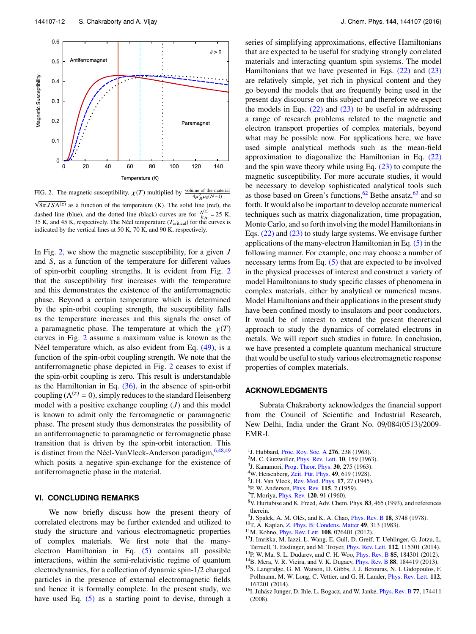

FIG. 2. The magnetic susceptibility,  $\chi(T)$  multiplied by volume of the material  $4\mu_B^2 \mu_0(N-1)$  $\sqrt{8\pi J S \Lambda^{(z)}}$  as a function of the temperature (K). The solid line (red), the dashed line (blue), and the dotted line (black) curves are for  $\frac{\Lambda^{(z)}}{k_B} = 25$  K, 35 K, and 45 K, respectively. The Néel temperature ( $T_{\rm critical}$ ) for the curves is indicated by the vertical lines at 50 K, 70 K, and 90 K, respectively.

In Fig. 2, we show the magnetic susceptibility, for a given *J* and *S*, as a function of the temperature for different values of spin-orbit coupling strengths. It is evident from Fig. 2 that the susceptibility first increases with the temperature and this demonstrates the existence of the antiferromagnetic phase. Beyond a certain temperature which is determined by the spin-orbit coupling strength, the susceptibility falls as the temperature increases and this signals the onset of a paramagnetic phase. The temperature at which the  $\chi(T)$ curves in Fig. 2 assume a maximum value is known as the Néel temperature which, as also evident from Eq. (49), is a function of the spin-orbit coupling strength. We note that the antiferromagnetic phase depicted in Fig. 2 ceases to exist if the spin-orbit coupling is zero. This result is understandable as the Hamiltonian in Eq.  $(36)$ , in the absence of spin-orbit coupling ( $\Lambda^{(z)} = 0$ ), simply reduces to the standard Heisenberg model with a positive exchange coupling (*J*) and this model is known to admit only the ferromagnetic or paramagnetic phase. The present study thus demonstrates the possibility of an antiferromagnetic to paramagnetic or ferromagnetic phase transition that is driven by the spin-orbit interaction. This is distinct from the Néel-VanVleck-Anderson paradigm, 6,48,49 which posits a negative spin-exchange for the existence of antiferromagnetic phase in the material.

## **VI. CONCLUDING REMARKS**

We now briefly discuss how the present theory of correlated electrons may be further extended and utilized to study the structure and various electromagnetic properties of complex materials. We first note that the manyelectron Hamiltonian in Eq. (5) contains all possible interactions, within the semi-relativistic regime of quantum electrodynamics, for a collection of dynamic spin-1/2 charged particles in the presence of external electromagnetic fields and hence it is formally complete. In the present study, we have used Eq.  $(5)$  as a starting point to devise, through a series of simplifying approximations, effective Hamiltonians that are expected to be useful for studying strongly correlated materials and interacting quantum spin systems. The model Hamiltonians that we have presented in Eqs. (22) and (23) are relatively simple, yet rich in physical content and they go beyond the models that are frequently being used in the present day discourse on this subject and therefore we expect the models in Eqs.  $(22)$  and  $(23)$  to be useful in addressing a range of research problems related to the magnetic and electron transport properties of complex materials, beyond what may be possible now. For applications here, we have used simple analytical methods such as the mean-field approximation to diagonalize the Hamiltonian in Eq. (22) and the spin wave theory while using Eq.  $(23)$  to compute the magnetic susceptibility. For more accurate studies, it would be necessary to develop sophisticated analytical tools such as those based on Green's functions,  $62$  Bethe ansatz,  $63$  and so forth. It would also be important to develop accurate numerical techniques such as matrix diagonalization, time propagation, Monte Carlo, and so forth involving the model Hamiltonians in Eqs. (22) and (23) to study large systems. We envisage further applications of the many-electron Hamiltonian in Eq.  $(5)$  in the following manner. For example, one may choose a number of necessary terms from Eq. (5) that are expected to be involved in the physical processes of interest and construct a variety of model Hamiltonians to study specific classes of phenomena in complex materials, either by analytical or numerical means. Model Hamiltonians and their applications in the present study have been confined mostly to insulators and poor conductors. It would be of interest to extend the present theoretical approach to study the dynamics of correlated electrons in metals. We will report such studies in future. In conclusion, we have presented a complete quantum mechanical structure that would be useful to study various electromagnetic response properties of complex materials.

## **ACKNOWLEDGMENTS**

Subrata Chakraborty acknowledges the financial support from the Council of Scientific and Industrial Research, New Delhi, India under the Grant No. 09/084(0513)/2009- EMR-I.

- <sup>1</sup>J. Hubbard, *Proc. Roy. Soc. A* 276, 238 (1963).
- <sup>2</sup>M. C. Gutzwiller, *Phys. Rev. Lett.* **10**, 159 (1963).
- 3 J. Kanamori, Prog. Theor. Phys. 30, 275 (1963).
- <sup>4</sup>W. Heisenberg, Zeit. Für. Phys. 49, 619 (1928).
- <sup>5</sup>J. H. Van Vleck, Rev. Mod. Phys. **17**, 27 (1945).
- <sup>6</sup>P. W. Anderson, *Phys. Rev.* **115**, 2 (1959).
- <sup>7</sup>T. Moriya, *Phys. Rev.* **120**, 91 (1960).
- <sup>8</sup>V. Hurtubise and K. Freed, Adv. Chem. Phys. 83, 465 (1993), and references therein.
- <sup>9</sup>J. Spałek, A. M. Olés, and K. A. Chao, *Phys. Rev. B* 18, 3748 (1978).
- <sup>10</sup>T. A. Kaplan, Z. Phys. B: Condens. Matter 49, 313 (1983).
- <sup>11</sup>M. Kohno, Phys. Rev. Lett. 108, 076401 (2012).
- <sup>12</sup>J. Imriška, M. Iazzi, L. Wang, E. Gull, D. Greif, T. Uehlinger, G. Jotzu, L. Tarruell, T. Esslinger, and M. Troyer, Phys. Rev. Lett. 112, 115301 (2014). <sup>13</sup>P. W. Ma, S. L. Dudarev, and C. H. Woo, Phys. Rev. B 85, 184301 (2012).
- <sup>14</sup>B. Mera, V. R. Vieira, and V. K. Dugaev, *Phys. Rev. B* 88, 184419 (2013).
- <sup>15</sup>S. Langridge, G. M. Watson, D. Gibbs, J. J. Betouras, N. I. Gidopoulos, F. Pollmann, M. W. Long, C. Vettier, and G. H. Lander, Phys. Rev. Lett. 112, 167201 (2014).
- <sup>16</sup>I. Juhász Junger, D. Ihle, L. Bogacz, and W. Janke, *Phys. Rev. B* 77, 174411 (2008).